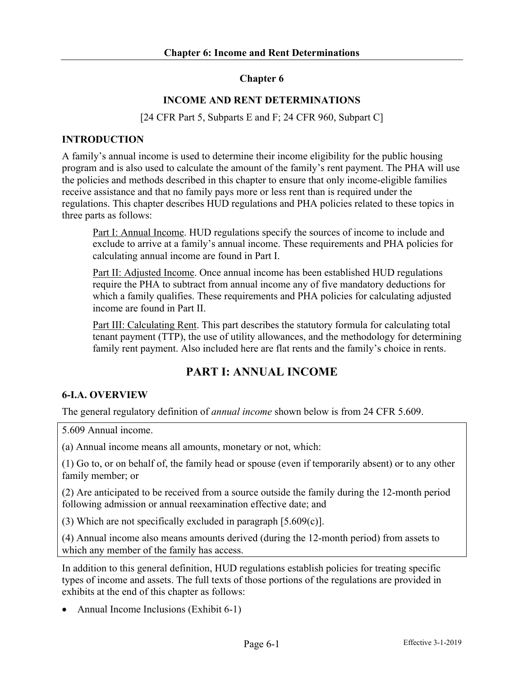## **Chapter 6**

## **INCOME AND RENT DETERMINATIONS**

[24 CFR Part 5, Subparts E and F; 24 CFR 960, Subpart C]

### **INTRODUCTION**

A family's annual income is used to determine their income eligibility for the public housing program and is also used to calculate the amount of the family's rent payment. The PHA will use the policies and methods described in this chapter to ensure that only income-eligible families receive assistance and that no family pays more or less rent than is required under the regulations. This chapter describes HUD regulations and PHA policies related to these topics in three parts as follows:

Part I: Annual Income. HUD regulations specify the sources of income to include and exclude to arrive at a family's annual income. These requirements and PHA policies for calculating annual income are found in Part I.

Part II: Adjusted Income. Once annual income has been established HUD regulations require the PHA to subtract from annual income any of five mandatory deductions for which a family qualifies. These requirements and PHA policies for calculating adjusted income are found in Part II.

Part III: Calculating Rent. This part describes the statutory formula for calculating total tenant payment (TTP), the use of utility allowances, and the methodology for determining family rent payment. Also included here are flat rents and the family's choice in rents.

# **PART I: ANNUAL INCOME**

## **6-I.A. OVERVIEW**

The general regulatory definition of *annual income* shown below is from 24 CFR 5.609.

5.609 Annual income.

(a) Annual income means all amounts, monetary or not, which:

(1) Go to, or on behalf of, the family head or spouse (even if temporarily absent) or to any other family member; or

(2) Are anticipated to be received from a source outside the family during the 12-month period following admission or annual reexamination effective date; and

(3) Which are not specifically excluded in paragraph [5.609(c)].

(4) Annual income also means amounts derived (during the 12-month period) from assets to which any member of the family has access.

In addition to this general definition, HUD regulations establish policies for treating specific types of income and assets. The full texts of those portions of the regulations are provided in exhibits at the end of this chapter as follows:

• Annual Income Inclusions (Exhibit 6-1)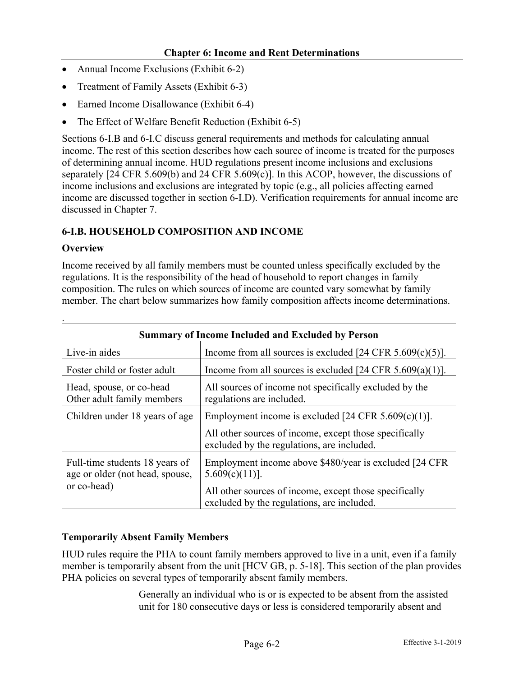- Annual Income Exclusions (Exhibit 6-2)
- Treatment of Family Assets (Exhibit 6-3)
- Earned Income Disallowance (Exhibit 6-4)
- The Effect of Welfare Benefit Reduction (Exhibit 6-5)

Sections 6-I.B and 6-I.C discuss general requirements and methods for calculating annual income. The rest of this section describes how each source of income is treated for the purposes of determining annual income. HUD regulations present income inclusions and exclusions separately [24 CFR 5.609(b) and 24 CFR 5.609(c)]. In this ACOP, however, the discussions of income inclusions and exclusions are integrated by topic (e.g., all policies affecting earned income are discussed together in section 6-I.D). Verification requirements for annual income are discussed in Chapter 7.

## **6-I.B. HOUSEHOLD COMPOSITION AND INCOME**

### **Overview**

Income received by all family members must be counted unless specifically excluded by the regulations. It is the responsibility of the head of household to report changes in family composition. The rules on which sources of income are counted vary somewhat by family member. The chart below summarizes how family composition affects income determinations.

| <b>Summary of Income Included and Excluded by Person</b>                         |                                                                                                      |  |  |
|----------------------------------------------------------------------------------|------------------------------------------------------------------------------------------------------|--|--|
| Live-in aides                                                                    | Income from all sources is excluded $[24 \text{ CFR } 5.609(c)(5)].$                                 |  |  |
| Foster child or foster adult                                                     | Income from all sources is excluded $[24 \text{ CFR } 5.609(a)(1)].$                                 |  |  |
| Head, spouse, or co-head<br>Other adult family members                           | All sources of income not specifically excluded by the<br>regulations are included.                  |  |  |
| Children under 18 years of age                                                   | Employment income is excluded [24 CFR $5.609(c)(1)$ ].                                               |  |  |
|                                                                                  | All other sources of income, except those specifically<br>excluded by the regulations, are included. |  |  |
| Full-time students 18 years of<br>age or older (not head, spouse,<br>or co-head) | Employment income above \$480/year is excluded [24 CFR]<br>$5.609(c)(11)$ ].                         |  |  |
|                                                                                  | All other sources of income, except those specifically<br>excluded by the regulations, are included. |  |  |

## **Temporarily Absent Family Members**

HUD rules require the PHA to count family members approved to live in a unit, even if a family member is temporarily absent from the unit [HCV GB, p. 5-18]. This section of the plan provides PHA policies on several types of temporarily absent family members.

> Generally an individual who is or is expected to be absent from the assisted unit for 180 consecutive days or less is considered temporarily absent and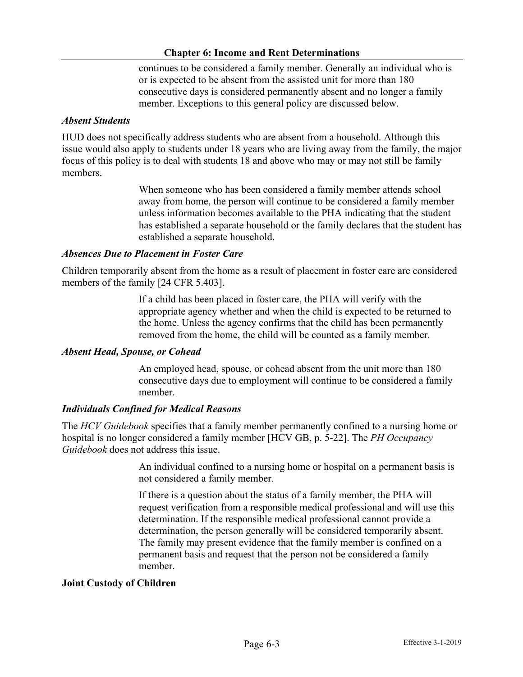continues to be considered a family member. Generally an individual who is or is expected to be absent from the assisted unit for more than 180 consecutive days is considered permanently absent and no longer a family member. Exceptions to this general policy are discussed below.

#### *Absent Students*

HUD does not specifically address students who are absent from a household. Although this issue would also apply to students under 18 years who are living away from the family, the major focus of this policy is to deal with students 18 and above who may or may not still be family members.

> When someone who has been considered a family member attends school away from home, the person will continue to be considered a family member unless information becomes available to the PHA indicating that the student has established a separate household or the family declares that the student has established a separate household.

### *Absences Due to Placement in Foster Care*

Children temporarily absent from the home as a result of placement in foster care are considered members of the family [24 CFR 5.403].

> If a child has been placed in foster care, the PHA will verify with the appropriate agency whether and when the child is expected to be returned to the home. Unless the agency confirms that the child has been permanently removed from the home, the child will be counted as a family member.

#### *Absent Head, Spouse, or Cohead*

An employed head, spouse, or cohead absent from the unit more than 180 consecutive days due to employment will continue to be considered a family member.

#### *Individuals Confined for Medical Reasons*

The *HCV Guidebook* specifies that a family member permanently confined to a nursing home or hospital is no longer considered a family member [HCV GB, p. 5-22]. The *PH Occupancy Guidebook* does not address this issue.

> An individual confined to a nursing home or hospital on a permanent basis is not considered a family member.

> If there is a question about the status of a family member, the PHA will request verification from a responsible medical professional and will use this determination. If the responsible medical professional cannot provide a determination, the person generally will be considered temporarily absent. The family may present evidence that the family member is confined on a permanent basis and request that the person not be considered a family member.

#### **Joint Custody of Children**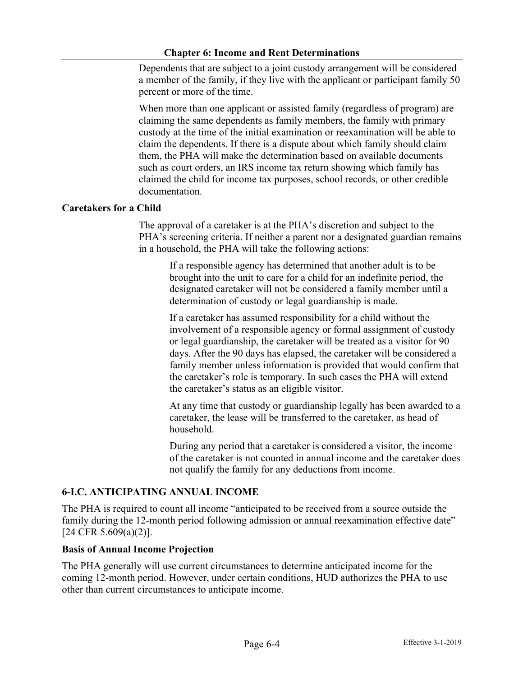Dependents that are subject to a joint custody arrangement will be considered a member of the family, if they live with the applicant or participant family 50 percent or more of the time.

When more than one applicant or assisted family (regardless of program) are claiming the same dependents as family members, the family with primary custody at the time of the initial examination or reexamination will be able to claim the dependents. If there is a dispute about which family should claim them, the PHA will make the determination based on available documents such as court orders, an IRS income tax return showing which family has claimed the child for income tax purposes, school records, or other credible documentation.

### **Caretakers for a Child**

The approval of a caretaker is at the PHA's discretion and subject to the PHA's screening criteria. If neither a parent nor a designated guardian remains in a household, the PHA will take the following actions:

If a responsible agency has determined that another adult is to be brought into the unit to care for a child for an indefinite period, the designated caretaker will not be considered a family member until a determination of custody or legal guardianship is made.

If a caretaker has assumed responsibility for a child without the involvement of a responsible agency or formal assignment of custody or legal guardianship, the caretaker will be treated as a visitor for 90 days. After the 90 days has elapsed, the caretaker will be considered a family member unless information is provided that would confirm that the caretaker's role is temporary. In such cases the PHA will extend the caretaker's status as an eligible visitor.

At any time that custody or guardianship legally has been awarded to a caretaker, the lease will be transferred to the caretaker, as head of household.

During any period that a caretaker is considered a visitor, the income of the caretaker is not counted in annual income and the caretaker does not qualify the family for any deductions from income.

## **6-I.C. ANTICIPATING ANNUAL INCOME**

The PHA is required to count all income "anticipated to be received from a source outside the family during the 12-month period following admission or annual reexamination effective date" [24 CFR 5.609(a)(2)].

#### **Basis of Annual Income Projection**

The PHA generally will use current circumstances to determine anticipated income for the coming 12-month period. However, under certain conditions, HUD authorizes the PHA to use other than current circumstances to anticipate income.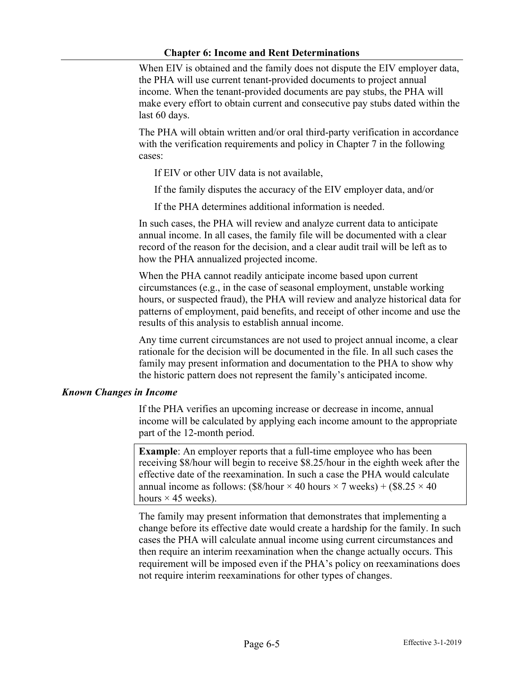When EIV is obtained and the family does not dispute the EIV employer data, the PHA will use current tenant-provided documents to project annual income. When the tenant-provided documents are pay stubs, the PHA will make every effort to obtain current and consecutive pay stubs dated within the last 60 days.

The PHA will obtain written and/or oral third-party verification in accordance with the verification requirements and policy in Chapter 7 in the following cases:

If EIV or other UIV data is not available,

If the family disputes the accuracy of the EIV employer data, and/or

If the PHA determines additional information is needed.

In such cases, the PHA will review and analyze current data to anticipate annual income. In all cases, the family file will be documented with a clear record of the reason for the decision, and a clear audit trail will be left as to how the PHA annualized projected income.

When the PHA cannot readily anticipate income based upon current circumstances (e.g., in the case of seasonal employment, unstable working hours, or suspected fraud), the PHA will review and analyze historical data for patterns of employment, paid benefits, and receipt of other income and use the results of this analysis to establish annual income.

Any time current circumstances are not used to project annual income, a clear rationale for the decision will be documented in the file. In all such cases the family may present information and documentation to the PHA to show why the historic pattern does not represent the family's anticipated income.

#### *Known Changes in Income*

If the PHA verifies an upcoming increase or decrease in income, annual income will be calculated by applying each income amount to the appropriate part of the 12-month period.

**Example**: An employer reports that a full-time employee who has been receiving \$8/hour will begin to receive \$8.25/hour in the eighth week after the effective date of the reexamination. In such a case the PHA would calculate annual income as follows: (\$8/hour  $\times$  40 hours  $\times$  7 weeks) + (\$8.25  $\times$  40 hours  $\times$  45 weeks).

The family may present information that demonstrates that implementing a change before its effective date would create a hardship for the family. In such cases the PHA will calculate annual income using current circumstances and then require an interim reexamination when the change actually occurs. This requirement will be imposed even if the PHA's policy on reexaminations does not require interim reexaminations for other types of changes.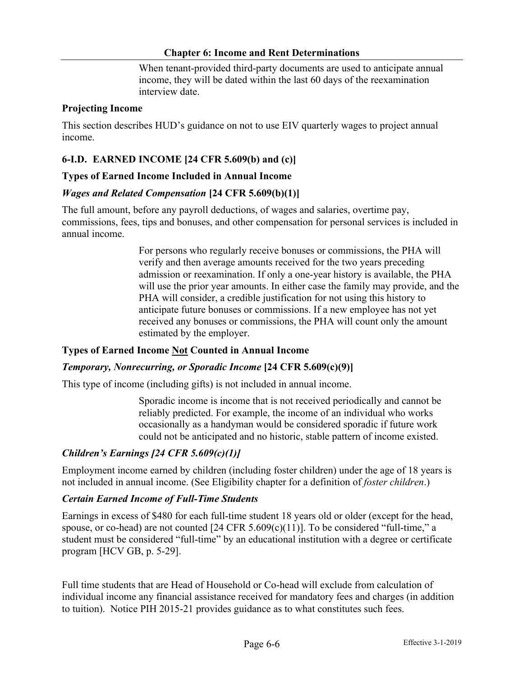When tenant-provided third-party documents are used to anticipate annual income, they will be dated within the last 60 days of the reexamination interview date.

#### **Projecting Income**

This section describes HUD's guidance on not to use EIV quarterly wages to project annual income.

## **6-I.D. EARNED INCOME [24 CFR 5.609(b) and (c)]**

#### **Types of Earned Income Included in Annual Income**

#### *Wages and Related Compensation* **[24 CFR 5.609(b)(1)]**

The full amount, before any payroll deductions, of wages and salaries, overtime pay, commissions, fees, tips and bonuses, and other compensation for personal services is included in annual income.

> For persons who regularly receive bonuses or commissions, the PHA will verify and then average amounts received for the two years preceding admission or reexamination. If only a one-year history is available, the PHA will use the prior year amounts. In either case the family may provide, and the PHA will consider, a credible justification for not using this history to anticipate future bonuses or commissions. If a new employee has not yet received any bonuses or commissions, the PHA will count only the amount estimated by the employer.

#### **Types of Earned Income Not Counted in Annual Income**

#### *Temporary, Nonrecurring, or Sporadic Income* **[24 CFR 5.609(c)(9)]**

This type of income (including gifts) is not included in annual income.

Sporadic income is income that is not received periodically and cannot be reliably predicted. For example, the income of an individual who works occasionally as a handyman would be considered sporadic if future work could not be anticipated and no historic, stable pattern of income existed.

#### *Children's Earnings [24 CFR 5.609(c)(1)]*

Employment income earned by children (including foster children) under the age of 18 years is not included in annual income. (See Eligibility chapter for a definition of *foster children*.)

#### *Certain Earned Income of Full-Time Students*

Earnings in excess of \$480 for each full-time student 18 years old or older (except for the head, spouse, or co-head) are not counted [24 CFR 5.609(c)(11)]. To be considered "full-time," a student must be considered "full-time" by an educational institution with a degree or certificate program [HCV GB, p. 5-29].

Full time students that are Head of Household or Co-head will exclude from calculation of individual income any financial assistance received for mandatory fees and charges (in addition to tuition). Notice PIH 2015-21 provides guidance as to what constitutes such fees.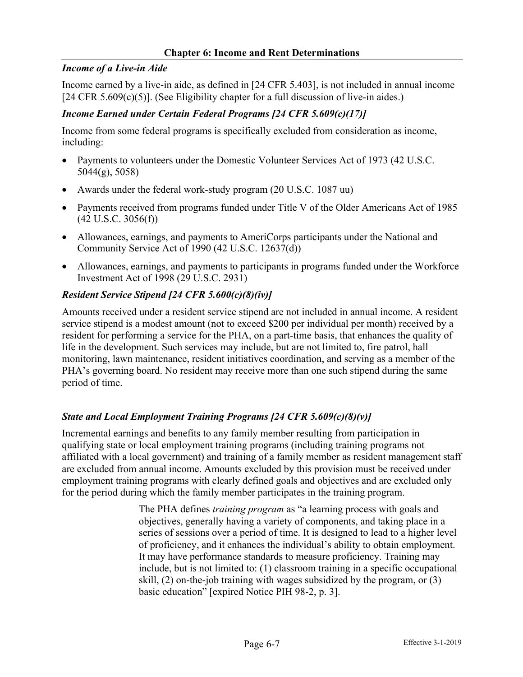### *Income of a Live-in Aide*

Income earned by a live-in aide, as defined in [24 CFR 5.403], is not included in annual income  $[24 \text{ CFR } 5.609(c)(5)]$ . (See Eligibility chapter for a full discussion of live-in aides.)

## *Income Earned under Certain Federal Programs [24 CFR 5.609(c)(17)]*

Income from some federal programs is specifically excluded from consideration as income, including:

- Payments to volunteers under the Domestic Volunteer Services Act of 1973 (42 U.S.C. 5044(g), 5058)
- Awards under the federal work-study program (20 U.S.C. 1087 uu)
- Payments received from programs funded under Title V of the Older Americans Act of 1985  $(42 \text{ U.S.C. } 3056(f))$
- Allowances, earnings, and payments to AmeriCorps participants under the National and Community Service Act of 1990 (42 U.S.C. 12637(d))
- Allowances, earnings, and payments to participants in programs funded under the Workforce Investment Act of 1998 (29 U.S.C. 2931)

# *Resident Service Stipend [24 CFR 5.600(c)(8)(iv)]*

Amounts received under a resident service stipend are not included in annual income. A resident service stipend is a modest amount (not to exceed \$200 per individual per month) received by a resident for performing a service for the PHA, on a part-time basis, that enhances the quality of life in the development. Such services may include, but are not limited to, fire patrol, hall monitoring, lawn maintenance, resident initiatives coordination, and serving as a member of the PHA's governing board. No resident may receive more than one such stipend during the same period of time.

# *State and Local Employment Training Programs [24 CFR 5.609(c)(8)(v)]*

Incremental earnings and benefits to any family member resulting from participation in qualifying state or local employment training programs (including training programs not affiliated with a local government) and training of a family member as resident management staff are excluded from annual income. Amounts excluded by this provision must be received under employment training programs with clearly defined goals and objectives and are excluded only for the period during which the family member participates in the training program.

> The PHA defines *training program* as "a learning process with goals and objectives, generally having a variety of components, and taking place in a series of sessions over a period of time. It is designed to lead to a higher level of proficiency, and it enhances the individual's ability to obtain employment. It may have performance standards to measure proficiency. Training may include, but is not limited to: (1) classroom training in a specific occupational skill, (2) on-the-job training with wages subsidized by the program, or (3) basic education" [expired Notice PIH 98-2, p. 3].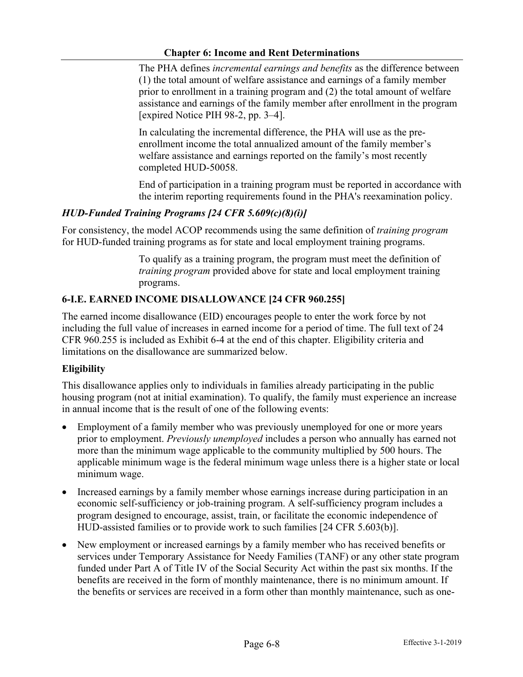The PHA defines *incremental earnings and benefits* as the difference between (1) the total amount of welfare assistance and earnings of a family member prior to enrollment in a training program and (2) the total amount of welfare assistance and earnings of the family member after enrollment in the program [expired Notice PIH 98-2, pp. 3–4].

In calculating the incremental difference, the PHA will use as the preenrollment income the total annualized amount of the family member's welfare assistance and earnings reported on the family's most recently completed HUD-50058.

End of participation in a training program must be reported in accordance with the interim reporting requirements found in the PHA's reexamination policy.

## *HUD-Funded Training Programs [24 CFR 5.609(c)(8)(i)]*

For consistency, the model ACOP recommends using the same definition of *training program* for HUD-funded training programs as for state and local employment training programs.

> To qualify as a training program, the program must meet the definition of *training program* provided above for state and local employment training programs.

## **6-I.E. EARNED INCOME DISALLOWANCE [24 CFR 960.255]**

The earned income disallowance (EID) encourages people to enter the work force by not including the full value of increases in earned income for a period of time. The full text of 24 CFR 960.255 is included as Exhibit 6-4 at the end of this chapter. Eligibility criteria and limitations on the disallowance are summarized below.

## **Eligibility**

This disallowance applies only to individuals in families already participating in the public housing program (not at initial examination). To qualify, the family must experience an increase in annual income that is the result of one of the following events:

- Employment of a family member who was previously unemployed for one or more years prior to employment. *Previously unemployed* includes a person who annually has earned not more than the minimum wage applicable to the community multiplied by 500 hours. The applicable minimum wage is the federal minimum wage unless there is a higher state or local minimum wage.
- Increased earnings by a family member whose earnings increase during participation in an economic self-sufficiency or job-training program. A self-sufficiency program includes a program designed to encourage, assist, train, or facilitate the economic independence of HUD-assisted families or to provide work to such families [24 CFR 5.603(b)].
- New employment or increased earnings by a family member who has received benefits or services under Temporary Assistance for Needy Families (TANF) or any other state program funded under Part A of Title IV of the Social Security Act within the past six months. If the benefits are received in the form of monthly maintenance, there is no minimum amount. If the benefits or services are received in a form other than monthly maintenance, such as one-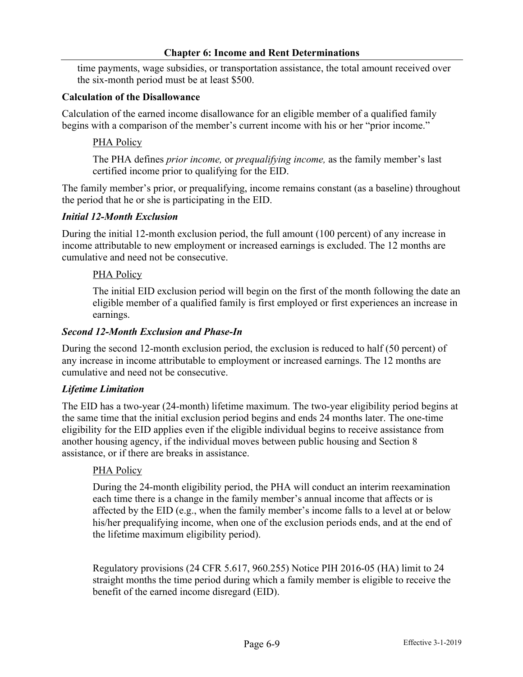time payments, wage subsidies, or transportation assistance, the total amount received over the six-month period must be at least \$500.

### **Calculation of the Disallowance**

Calculation of the earned income disallowance for an eligible member of a qualified family begins with a comparison of the member's current income with his or her "prior income."

## PHA Policy

The PHA defines *prior income,* or *prequalifying income,* as the family member's last certified income prior to qualifying for the EID.

The family member's prior, or prequalifying, income remains constant (as a baseline) throughout the period that he or she is participating in the EID.

### *Initial 12-Month Exclusion*

During the initial 12-month exclusion period, the full amount (100 percent) of any increase in income attributable to new employment or increased earnings is excluded. The 12 months are cumulative and need not be consecutive.

### PHA Policy

The initial EID exclusion period will begin on the first of the month following the date an eligible member of a qualified family is first employed or first experiences an increase in earnings.

### *Second 12-Month Exclusion and Phase-In*

During the second 12-month exclusion period, the exclusion is reduced to half (50 percent) of any increase in income attributable to employment or increased earnings. The 12 months are cumulative and need not be consecutive.

## *Lifetime Limitation*

The EID has a two-year (24-month) lifetime maximum. The two-year eligibility period begins at the same time that the initial exclusion period begins and ends 24 months later. The one-time eligibility for the EID applies even if the eligible individual begins to receive assistance from another housing agency, if the individual moves between public housing and Section 8 assistance, or if there are breaks in assistance.

#### PHA Policy

During the 24-month eligibility period, the PHA will conduct an interim reexamination each time there is a change in the family member's annual income that affects or is affected by the EID (e.g., when the family member's income falls to a level at or below his/her prequalifying income, when one of the exclusion periods ends, and at the end of the lifetime maximum eligibility period).

Regulatory provisions (24 CFR 5.617, 960.255) Notice PIH 2016-05 (HA) limit to 24 straight months the time period during which a family member is eligible to receive the benefit of the earned income disregard (EID).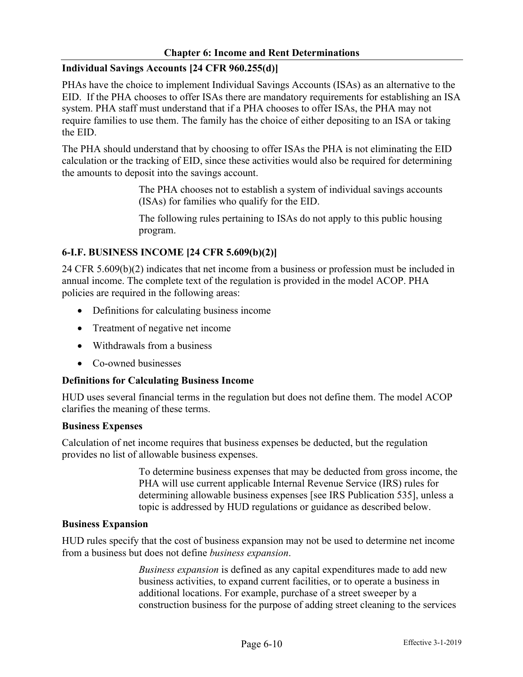## **Individual Savings Accounts [24 CFR 960.255(d)]**

PHAs have the choice to implement Individual Savings Accounts (ISAs) as an alternative to the EID. If the PHA chooses to offer ISAs there are mandatory requirements for establishing an ISA system. PHA staff must understand that if a PHA chooses to offer ISAs, the PHA may not require families to use them. The family has the choice of either depositing to an ISA or taking the EID.

The PHA should understand that by choosing to offer ISAs the PHA is not eliminating the EID calculation or the tracking of EID, since these activities would also be required for determining the amounts to deposit into the savings account.

> The PHA chooses not to establish a system of individual savings accounts (ISAs) for families who qualify for the EID.

> The following rules pertaining to ISAs do not apply to this public housing program.

## **6-I.F. BUSINESS INCOME [24 CFR 5.609(b)(2)]**

24 CFR 5.609(b)(2) indicates that net income from a business or profession must be included in annual income. The complete text of the regulation is provided in the model ACOP. PHA policies are required in the following areas:

- Definitions for calculating business income
- Treatment of negative net income
- Withdrawals from a business
- Co-owned businesses

#### **Definitions for Calculating Business Income**

HUD uses several financial terms in the regulation but does not define them. The model ACOP clarifies the meaning of these terms.

#### **Business Expenses**

Calculation of net income requires that business expenses be deducted, but the regulation provides no list of allowable business expenses.

> To determine business expenses that may be deducted from gross income, the PHA will use current applicable Internal Revenue Service (IRS) rules for determining allowable business expenses [see IRS Publication 535], unless a topic is addressed by HUD regulations or guidance as described below.

#### **Business Expansion**

HUD rules specify that the cost of business expansion may not be used to determine net income from a business but does not define *business expansion*.

> *Business expansion* is defined as any capital expenditures made to add new business activities, to expand current facilities, or to operate a business in additional locations. For example, purchase of a street sweeper by a construction business for the purpose of adding street cleaning to the services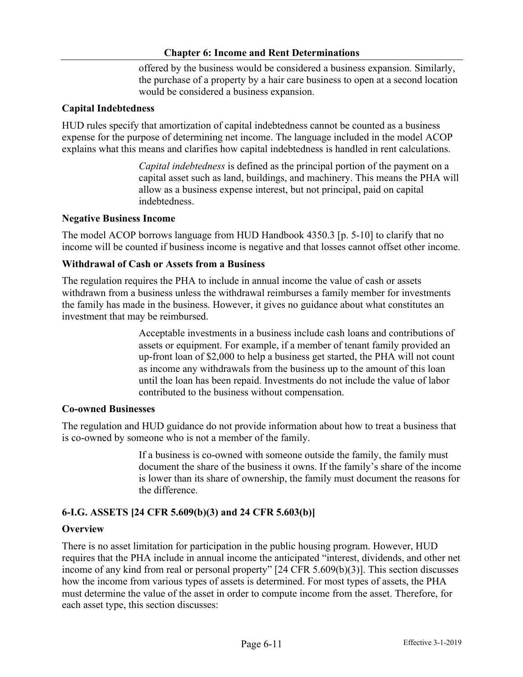offered by the business would be considered a business expansion. Similarly, the purchase of a property by a hair care business to open at a second location would be considered a business expansion.

## **Capital Indebtedness**

HUD rules specify that amortization of capital indebtedness cannot be counted as a business expense for the purpose of determining net income. The language included in the model ACOP explains what this means and clarifies how capital indebtedness is handled in rent calculations.

> *Capital indebtedness* is defined as the principal portion of the payment on a capital asset such as land, buildings, and machinery. This means the PHA will allow as a business expense interest, but not principal, paid on capital indebtedness.

### **Negative Business Income**

The model ACOP borrows language from HUD Handbook 4350.3 [p. 5-10] to clarify that no income will be counted if business income is negative and that losses cannot offset other income.

### **Withdrawal of Cash or Assets from a Business**

The regulation requires the PHA to include in annual income the value of cash or assets withdrawn from a business unless the withdrawal reimburses a family member for investments the family has made in the business. However, it gives no guidance about what constitutes an investment that may be reimbursed.

> Acceptable investments in a business include cash loans and contributions of assets or equipment. For example, if a member of tenant family provided an up-front loan of \$2,000 to help a business get started, the PHA will not count as income any withdrawals from the business up to the amount of this loan until the loan has been repaid. Investments do not include the value of labor contributed to the business without compensation.

#### **Co-owned Businesses**

The regulation and HUD guidance do not provide information about how to treat a business that is co-owned by someone who is not a member of the family.

> If a business is co-owned with someone outside the family, the family must document the share of the business it owns. If the family's share of the income is lower than its share of ownership, the family must document the reasons for the difference.

## **6-I.G. ASSETS [24 CFR 5.609(b)(3) and 24 CFR 5.603(b)]**

#### **Overview**

There is no asset limitation for participation in the public housing program. However, HUD requires that the PHA include in annual income the anticipated "interest, dividends, and other net income of any kind from real or personal property" [24 CFR 5.609(b)(3)]. This section discusses how the income from various types of assets is determined. For most types of assets, the PHA must determine the value of the asset in order to compute income from the asset. Therefore, for each asset type, this section discusses: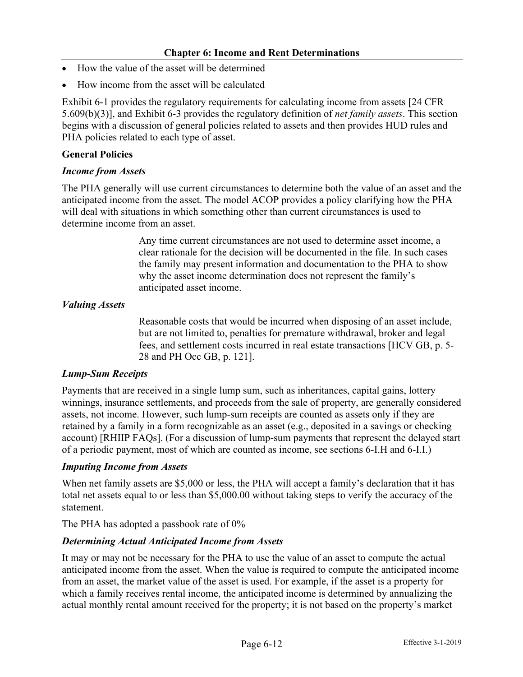- How the value of the asset will be determined
- How income from the asset will be calculated

Exhibit 6-1 provides the regulatory requirements for calculating income from assets [24 CFR 5.609(b)(3)], and Exhibit 6-3 provides the regulatory definition of *net family assets*. This section begins with a discussion of general policies related to assets and then provides HUD rules and PHA policies related to each type of asset.

## **General Policies**

### *Income from Assets*

The PHA generally will use current circumstances to determine both the value of an asset and the anticipated income from the asset. The model ACOP provides a policy clarifying how the PHA will deal with situations in which something other than current circumstances is used to determine income from an asset.

> Any time current circumstances are not used to determine asset income, a clear rationale for the decision will be documented in the file. In such cases the family may present information and documentation to the PHA to show why the asset income determination does not represent the family's anticipated asset income.

## *Valuing Assets*

Reasonable costs that would be incurred when disposing of an asset include, but are not limited to, penalties for premature withdrawal, broker and legal fees, and settlement costs incurred in real estate transactions [HCV GB, p. 5- 28 and PH Occ GB, p. 121].

## *Lump-Sum Receipts*

Payments that are received in a single lump sum, such as inheritances, capital gains, lottery winnings, insurance settlements, and proceeds from the sale of property, are generally considered assets, not income. However, such lump-sum receipts are counted as assets only if they are retained by a family in a form recognizable as an asset (e.g., deposited in a savings or checking account) [RHIIP FAQs]. (For a discussion of lump-sum payments that represent the delayed start of a periodic payment, most of which are counted as income, see sections 6-I.H and 6-I.I.)

#### *Imputing Income from Assets*

When net family assets are \$5,000 or less, the PHA will accept a family's declaration that it has total net assets equal to or less than \$5,000.00 without taking steps to verify the accuracy of the statement.

The PHA has adopted a passbook rate of 0%

## *Determining Actual Anticipated Income from Assets*

It may or may not be necessary for the PHA to use the value of an asset to compute the actual anticipated income from the asset. When the value is required to compute the anticipated income from an asset, the market value of the asset is used. For example, if the asset is a property for which a family receives rental income, the anticipated income is determined by annualizing the actual monthly rental amount received for the property; it is not based on the property's market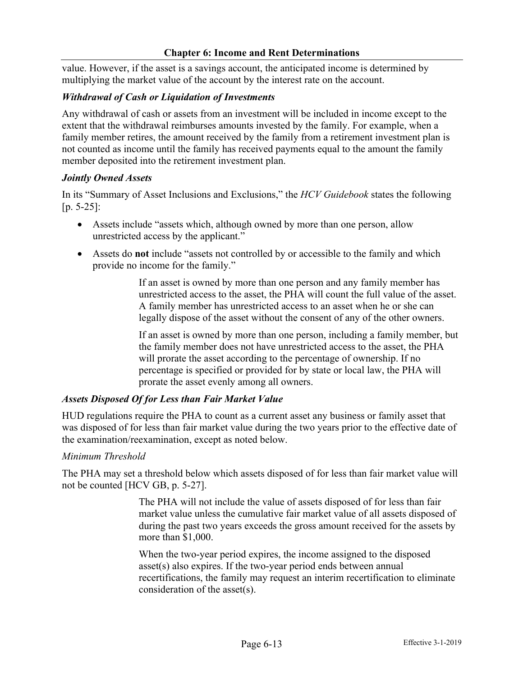value. However, if the asset is a savings account, the anticipated income is determined by multiplying the market value of the account by the interest rate on the account.

#### *Withdrawal of Cash or Liquidation of Investments*

Any withdrawal of cash or assets from an investment will be included in income except to the extent that the withdrawal reimburses amounts invested by the family. For example, when a family member retires, the amount received by the family from a retirement investment plan is not counted as income until the family has received payments equal to the amount the family member deposited into the retirement investment plan.

#### *Jointly Owned Assets*

In its "Summary of Asset Inclusions and Exclusions," the *HCV Guidebook* states the following [p. 5-25]:

- Assets include "assets which, although owned by more than one person, allow unrestricted access by the applicant."
- Assets do **not** include "assets not controlled by or accessible to the family and which provide no income for the family."

If an asset is owned by more than one person and any family member has unrestricted access to the asset, the PHA will count the full value of the asset. A family member has unrestricted access to an asset when he or she can legally dispose of the asset without the consent of any of the other owners.

If an asset is owned by more than one person, including a family member, but the family member does not have unrestricted access to the asset, the PHA will prorate the asset according to the percentage of ownership. If no percentage is specified or provided for by state or local law, the PHA will prorate the asset evenly among all owners.

#### *Assets Disposed Of for Less than Fair Market Value*

HUD regulations require the PHA to count as a current asset any business or family asset that was disposed of for less than fair market value during the two years prior to the effective date of the examination/reexamination, except as noted below.

#### *Minimum Threshold*

The PHA may set a threshold below which assets disposed of for less than fair market value will not be counted [HCV GB, p. 5-27].

> The PHA will not include the value of assets disposed of for less than fair market value unless the cumulative fair market value of all assets disposed of during the past two years exceeds the gross amount received for the assets by more than \$1,000.

> When the two-year period expires, the income assigned to the disposed asset(s) also expires. If the two-year period ends between annual recertifications, the family may request an interim recertification to eliminate consideration of the asset(s).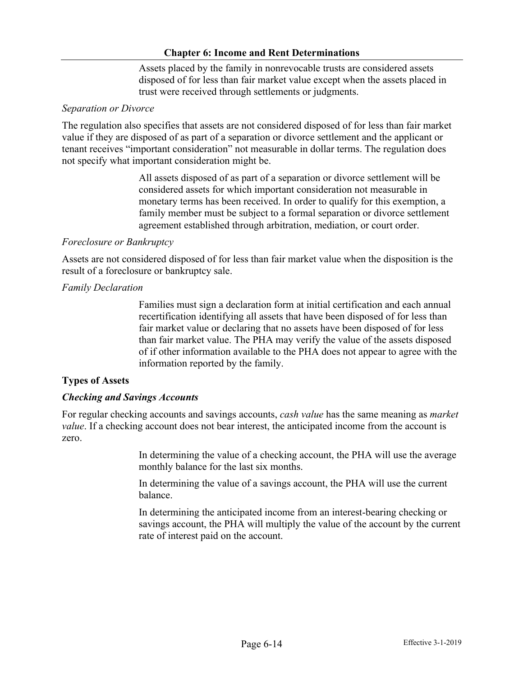Assets placed by the family in nonrevocable trusts are considered assets disposed of for less than fair market value except when the assets placed in trust were received through settlements or judgments.

### *Separation or Divorce*

The regulation also specifies that assets are not considered disposed of for less than fair market value if they are disposed of as part of a separation or divorce settlement and the applicant or tenant receives "important consideration" not measurable in dollar terms. The regulation does not specify what important consideration might be.

> All assets disposed of as part of a separation or divorce settlement will be considered assets for which important consideration not measurable in monetary terms has been received. In order to qualify for this exemption, a family member must be subject to a formal separation or divorce settlement agreement established through arbitration, mediation, or court order.

### *Foreclosure or Bankruptcy*

Assets are not considered disposed of for less than fair market value when the disposition is the result of a foreclosure or bankruptcy sale.

### *Family Declaration*

Families must sign a declaration form at initial certification and each annual recertification identifying all assets that have been disposed of for less than fair market value or declaring that no assets have been disposed of for less than fair market value. The PHA may verify the value of the assets disposed of if other information available to the PHA does not appear to agree with the information reported by the family.

## **Types of Assets**

## *Checking and Savings Accounts*

For regular checking accounts and savings accounts, *cash value* has the same meaning as *market value*. If a checking account does not bear interest, the anticipated income from the account is zero.

> In determining the value of a checking account, the PHA will use the average monthly balance for the last six months.

In determining the value of a savings account, the PHA will use the current balance.

In determining the anticipated income from an interest-bearing checking or savings account, the PHA will multiply the value of the account by the current rate of interest paid on the account.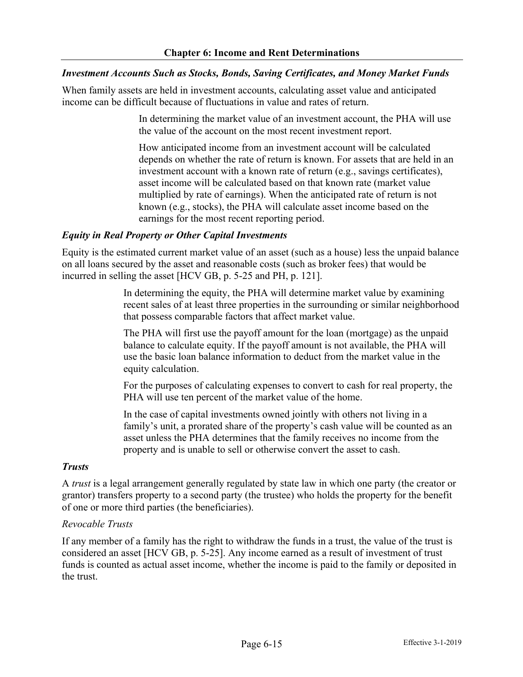### *Investment Accounts Such as Stocks, Bonds, Saving Certificates, and Money Market Funds*

When family assets are held in investment accounts, calculating asset value and anticipated income can be difficult because of fluctuations in value and rates of return.

> In determining the market value of an investment account, the PHA will use the value of the account on the most recent investment report.

> How anticipated income from an investment account will be calculated depends on whether the rate of return is known. For assets that are held in an investment account with a known rate of return (e.g., savings certificates), asset income will be calculated based on that known rate (market value multiplied by rate of earnings). When the anticipated rate of return is not known (e.g., stocks), the PHA will calculate asset income based on the earnings for the most recent reporting period.

### *Equity in Real Property or Other Capital Investments*

Equity is the estimated current market value of an asset (such as a house) less the unpaid balance on all loans secured by the asset and reasonable costs (such as broker fees) that would be incurred in selling the asset [HCV GB, p. 5-25 and PH, p. 121].

> In determining the equity, the PHA will determine market value by examining recent sales of at least three properties in the surrounding or similar neighborhood that possess comparable factors that affect market value.

The PHA will first use the payoff amount for the loan (mortgage) as the unpaid balance to calculate equity. If the payoff amount is not available, the PHA will use the basic loan balance information to deduct from the market value in the equity calculation.

For the purposes of calculating expenses to convert to cash for real property, the PHA will use ten percent of the market value of the home.

In the case of capital investments owned jointly with others not living in a family's unit, a prorated share of the property's cash value will be counted as an asset unless the PHA determines that the family receives no income from the property and is unable to sell or otherwise convert the asset to cash.

#### *Trusts*

A *trust* is a legal arrangement generally regulated by state law in which one party (the creator or grantor) transfers property to a second party (the trustee) who holds the property for the benefit of one or more third parties (the beneficiaries).

#### *Revocable Trusts*

If any member of a family has the right to withdraw the funds in a trust, the value of the trust is considered an asset [HCV GB, p. 5-25]. Any income earned as a result of investment of trust funds is counted as actual asset income, whether the income is paid to the family or deposited in the trust.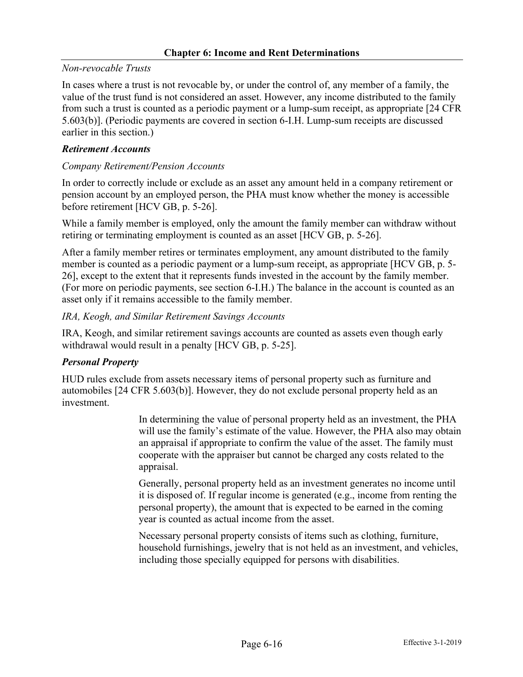## *Non-revocable Trusts*

In cases where a trust is not revocable by, or under the control of, any member of a family, the value of the trust fund is not considered an asset. However, any income distributed to the family from such a trust is counted as a periodic payment or a lump-sum receipt, as appropriate [24 CFR 5.603(b)]. (Periodic payments are covered in section 6-I.H. Lump-sum receipts are discussed earlier in this section.)

### *Retirement Accounts*

### *Company Retirement/Pension Accounts*

In order to correctly include or exclude as an asset any amount held in a company retirement or pension account by an employed person, the PHA must know whether the money is accessible before retirement [HCV GB, p. 5-26].

While a family member is employed, only the amount the family member can withdraw without retiring or terminating employment is counted as an asset [HCV GB, p. 5-26].

After a family member retires or terminates employment, any amount distributed to the family member is counted as a periodic payment or a lump-sum receipt, as appropriate [HCV GB, p. 5- 26], except to the extent that it represents funds invested in the account by the family member. (For more on periodic payments, see section 6-I.H.) The balance in the account is counted as an asset only if it remains accessible to the family member.

#### *IRA, Keogh, and Similar Retirement Savings Accounts*

IRA, Keogh, and similar retirement savings accounts are counted as assets even though early withdrawal would result in a penalty [HCV GB, p. 5-25].

## *Personal Property*

HUD rules exclude from assets necessary items of personal property such as furniture and automobiles [24 CFR 5.603(b)]. However, they do not exclude personal property held as an investment.

> In determining the value of personal property held as an investment, the PHA will use the family's estimate of the value. However, the PHA also may obtain an appraisal if appropriate to confirm the value of the asset. The family must cooperate with the appraiser but cannot be charged any costs related to the appraisal.

Generally, personal property held as an investment generates no income until it is disposed of. If regular income is generated (e.g., income from renting the personal property), the amount that is expected to be earned in the coming year is counted as actual income from the asset.

Necessary personal property consists of items such as clothing, furniture, household furnishings, jewelry that is not held as an investment, and vehicles, including those specially equipped for persons with disabilities.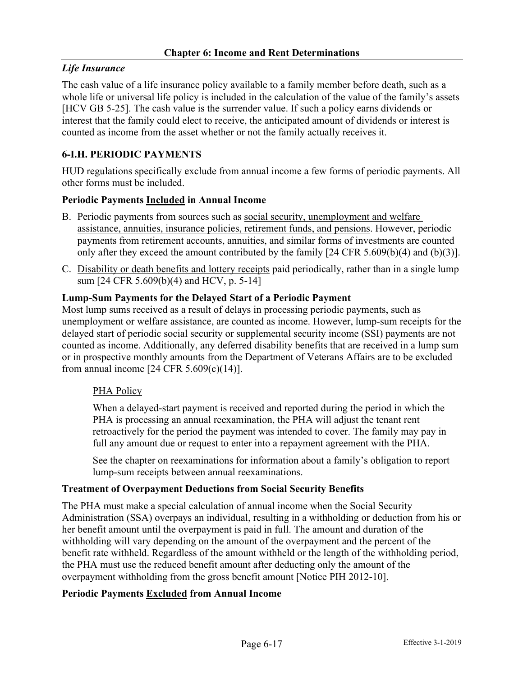# *Life Insurance*

The cash value of a life insurance policy available to a family member before death, such as a whole life or universal life policy is included in the calculation of the value of the family's assets [HCV GB 5-25]. The cash value is the surrender value. If such a policy earns dividends or interest that the family could elect to receive, the anticipated amount of dividends or interest is counted as income from the asset whether or not the family actually receives it.

## **6-I.H. PERIODIC PAYMENTS**

HUD regulations specifically exclude from annual income a few forms of periodic payments. All other forms must be included.

## **Periodic Payments Included in Annual Income**

- B. Periodic payments from sources such as social security, unemployment and welfare assistance, annuities, insurance policies, retirement funds, and pensions. However, periodic payments from retirement accounts, annuities, and similar forms of investments are counted only after they exceed the amount contributed by the family  $[24 \text{ CFR } 5.609(b)(4)$  and  $(b)(3)]$ .
- C. Disability or death benefits and lottery receipts paid periodically, rather than in a single lump sum [24 CFR 5.609(b)(4) and HCV, p. 5-14]

### **Lump-Sum Payments for the Delayed Start of a Periodic Payment**

Most lump sums received as a result of delays in processing periodic payments, such as unemployment or welfare assistance, are counted as income. However, lump-sum receipts for the delayed start of periodic social security or supplemental security income (SSI) payments are not counted as income. Additionally, any deferred disability benefits that are received in a lump sum or in prospective monthly amounts from the Department of Veterans Affairs are to be excluded from annual income [24 CFR 5.609(c)(14)].

## PHA Policy

When a delayed-start payment is received and reported during the period in which the PHA is processing an annual reexamination, the PHA will adjust the tenant rent retroactively for the period the payment was intended to cover. The family may pay in full any amount due or request to enter into a repayment agreement with the PHA.

See the chapter on reexaminations for information about a family's obligation to report lump-sum receipts between annual reexaminations.

#### **Treatment of Overpayment Deductions from Social Security Benefits**

The PHA must make a special calculation of annual income when the Social Security Administration (SSA) overpays an individual, resulting in a withholding or deduction from his or her benefit amount until the overpayment is paid in full. The amount and duration of the withholding will vary depending on the amount of the overpayment and the percent of the benefit rate withheld. Regardless of the amount withheld or the length of the withholding period, the PHA must use the reduced benefit amount after deducting only the amount of the overpayment withholding from the gross benefit amount [Notice PIH 2012-10].

#### **Periodic Payments Excluded from Annual Income**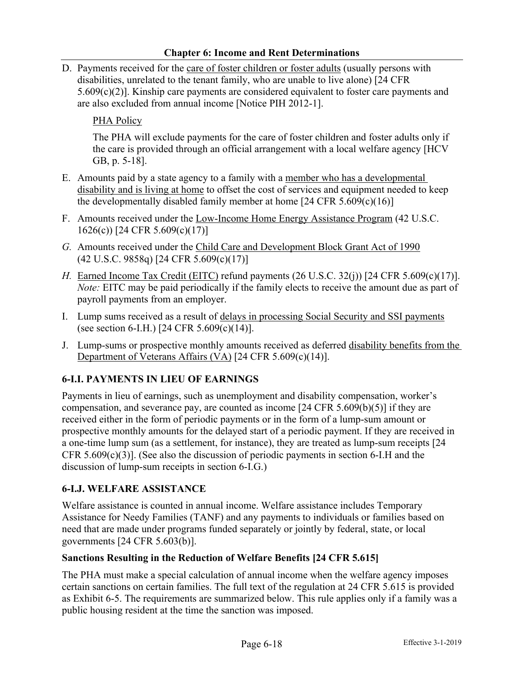D. Payments received for the care of foster children or foster adults (usually persons with disabilities, unrelated to the tenant family, who are unable to live alone) [24 CFR 5.609(c)(2)]. Kinship care payments are considered equivalent to foster care payments and are also excluded from annual income [Notice PIH 2012-1].

# PHA Policy

The PHA will exclude payments for the care of foster children and foster adults only if the care is provided through an official arrangement with a local welfare agency [HCV GB, p. 5-18].

- E. Amounts paid by a state agency to a family with a member who has a developmental disability and is living at home to offset the cost of services and equipment needed to keep the developmentally disabled family member at home  $[24 \text{ CFR } 5.609(c)(16)]$
- F. Amounts received under the Low-Income Home Energy Assistance Program (42 U.S.C. 1626(c)) [24 CFR 5.609(c)(17)]
- *G.* Amounts received under the Child Care and Development Block Grant Act of 1990 (42 U.S.C. 9858q) [24 CFR 5.609(c)(17)]
- *H.* Earned Income Tax Credit (EITC) refund payments (26 U.S.C. 32(j)) [24 CFR 5.609(c)(17)]. *Note:* EITC may be paid periodically if the family elects to receive the amount due as part of payroll payments from an employer.
- I. Lump sums received as a result of delays in processing Social Security and SSI payments (see section 6-I.H.) [24 CFR 5.609(c)(14)].
- J. Lump-sums or prospective monthly amounts received as deferred disability benefits from the Department of Veterans Affairs (VA) [24 CFR 5.609(c)(14)].

# **6-I.I. PAYMENTS IN LIEU OF EARNINGS**

Payments in lieu of earnings, such as unemployment and disability compensation, worker's compensation, and severance pay, are counted as income [24 CFR 5.609(b)(5)] if they are received either in the form of periodic payments or in the form of a lump-sum amount or prospective monthly amounts for the delayed start of a periodic payment. If they are received in a one-time lump sum (as a settlement, for instance), they are treated as lump-sum receipts [24 CFR  $5.609(c)(3)$ ]. (See also the discussion of periodic payments in section 6-I.H and the discussion of lump-sum receipts in section 6-I.G.)

## **6-I.J. WELFARE ASSISTANCE**

Welfare assistance is counted in annual income. Welfare assistance includes Temporary Assistance for Needy Families (TANF) and any payments to individuals or families based on need that are made under programs funded separately or jointly by federal, state, or local governments [24 CFR 5.603(b)].

## **Sanctions Resulting in the Reduction of Welfare Benefits [24 CFR 5.615]**

The PHA must make a special calculation of annual income when the welfare agency imposes certain sanctions on certain families. The full text of the regulation at 24 CFR 5.615 is provided as Exhibit 6-5. The requirements are summarized below. This rule applies only if a family was a public housing resident at the time the sanction was imposed.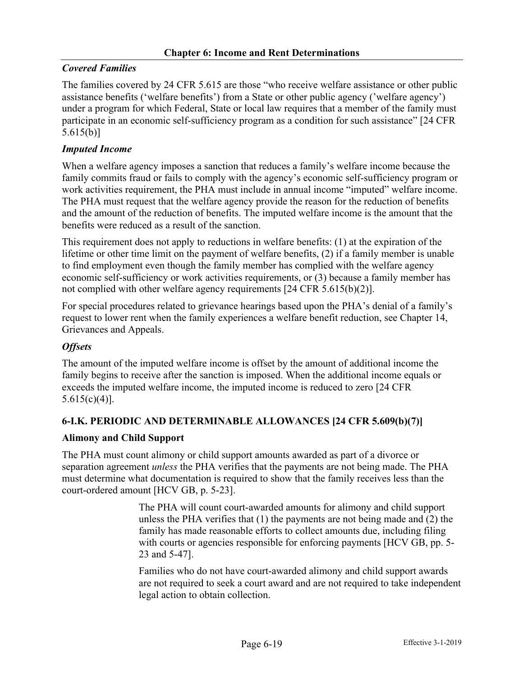## *Covered Families*

The families covered by 24 CFR 5.615 are those "who receive welfare assistance or other public assistance benefits ('welfare benefits') from a State or other public agency ('welfare agency') under a program for which Federal, State or local law requires that a member of the family must participate in an economic self-sufficiency program as a condition for such assistance" [24 CFR 5.615(b)]

## *Imputed Income*

When a welfare agency imposes a sanction that reduces a family's welfare income because the family commits fraud or fails to comply with the agency's economic self-sufficiency program or work activities requirement, the PHA must include in annual income "imputed" welfare income. The PHA must request that the welfare agency provide the reason for the reduction of benefits and the amount of the reduction of benefits. The imputed welfare income is the amount that the benefits were reduced as a result of the sanction.

This requirement does not apply to reductions in welfare benefits: (1) at the expiration of the lifetime or other time limit on the payment of welfare benefits, (2) if a family member is unable to find employment even though the family member has complied with the welfare agency economic self-sufficiency or work activities requirements, or (3) because a family member has not complied with other welfare agency requirements [24 CFR 5.615(b)(2)].

For special procedures related to grievance hearings based upon the PHA's denial of a family's request to lower rent when the family experiences a welfare benefit reduction, see Chapter 14, Grievances and Appeals.

## *Offsets*

The amount of the imputed welfare income is offset by the amount of additional income the family begins to receive after the sanction is imposed. When the additional income equals or exceeds the imputed welfare income, the imputed income is reduced to zero [24 CFR  $5.615(c)(4)$ ].

## **6-I.K. PERIODIC AND DETERMINABLE ALLOWANCES [24 CFR 5.609(b)(7)]**

## **Alimony and Child Support**

The PHA must count alimony or child support amounts awarded as part of a divorce or separation agreement *unless* the PHA verifies that the payments are not being made. The PHA must determine what documentation is required to show that the family receives less than the court-ordered amount [HCV GB, p. 5-23].

> The PHA will count court-awarded amounts for alimony and child support unless the PHA verifies that (1) the payments are not being made and (2) the family has made reasonable efforts to collect amounts due, including filing with courts or agencies responsible for enforcing payments [HCV GB, pp. 5-23 and 5-47].

Families who do not have court-awarded alimony and child support awards are not required to seek a court award and are not required to take independent legal action to obtain collection.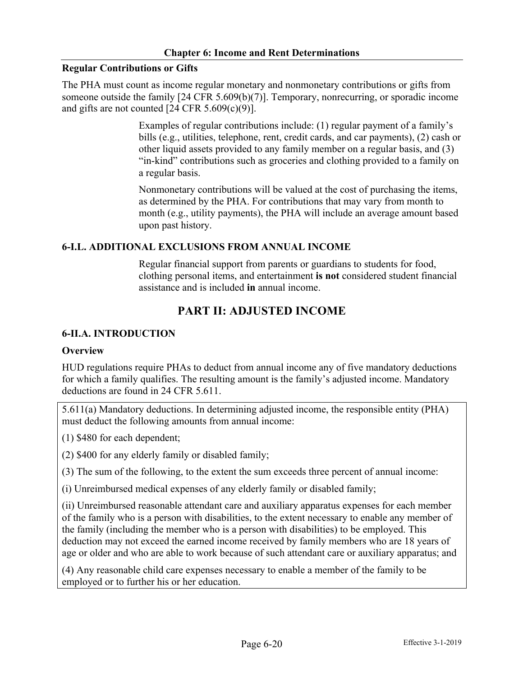## **Regular Contributions or Gifts**

The PHA must count as income regular monetary and nonmonetary contributions or gifts from someone outside the family [24 CFR 5.609(b)(7)]. Temporary, nonrecurring, or sporadic income and gifts are not counted  $[24 \text{ CFR } 5.609(c)(9)].$ 

> Examples of regular contributions include: (1) regular payment of a family's bills (e.g., utilities, telephone, rent, credit cards, and car payments), (2) cash or other liquid assets provided to any family member on a regular basis, and (3) "in-kind" contributions such as groceries and clothing provided to a family on a regular basis.

> Nonmonetary contributions will be valued at the cost of purchasing the items, as determined by the PHA. For contributions that may vary from month to month (e.g., utility payments), the PHA will include an average amount based upon past history.

# **6-I.L. ADDITIONAL EXCLUSIONS FROM ANNUAL INCOME**

Regular financial support from parents or guardians to students for food, clothing personal items, and entertainment **is not** considered student financial assistance and is included **in** annual income.

# **PART II: ADJUSTED INCOME**

# **6-II.A. INTRODUCTION**

## **Overview**

HUD regulations require PHAs to deduct from annual income any of five mandatory deductions for which a family qualifies. The resulting amount is the family's adjusted income. Mandatory deductions are found in 24 CFR 5.611.

5.611(a) Mandatory deductions. In determining adjusted income, the responsible entity (PHA) must deduct the following amounts from annual income:

(1) \$480 for each dependent;

(2) \$400 for any elderly family or disabled family;

(3) The sum of the following, to the extent the sum exceeds three percent of annual income:

(i) Unreimbursed medical expenses of any elderly family or disabled family;

(ii) Unreimbursed reasonable attendant care and auxiliary apparatus expenses for each member of the family who is a person with disabilities, to the extent necessary to enable any member of the family (including the member who is a person with disabilities) to be employed. This deduction may not exceed the earned income received by family members who are 18 years of age or older and who are able to work because of such attendant care or auxiliary apparatus; and

(4) Any reasonable child care expenses necessary to enable a member of the family to be employed or to further his or her education.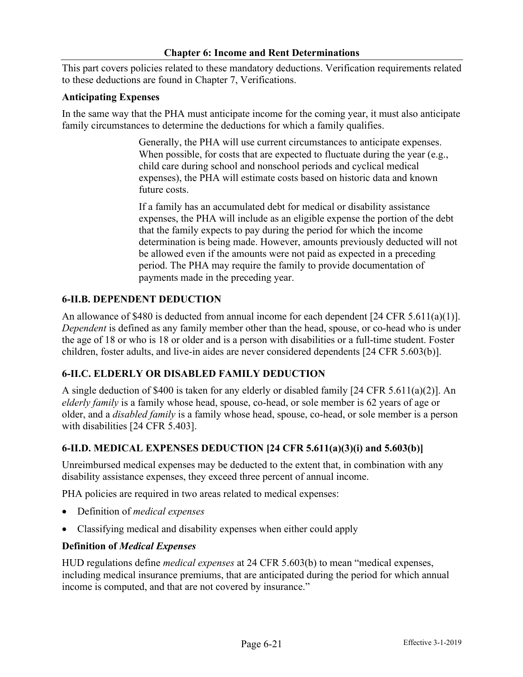This part covers policies related to these mandatory deductions. Verification requirements related to these deductions are found in Chapter 7, Verifications.

#### **Anticipating Expenses**

In the same way that the PHA must anticipate income for the coming year, it must also anticipate family circumstances to determine the deductions for which a family qualifies.

> Generally, the PHA will use current circumstances to anticipate expenses. When possible, for costs that are expected to fluctuate during the year (e.g., child care during school and nonschool periods and cyclical medical expenses), the PHA will estimate costs based on historic data and known future costs.

If a family has an accumulated debt for medical or disability assistance expenses, the PHA will include as an eligible expense the portion of the debt that the family expects to pay during the period for which the income determination is being made. However, amounts previously deducted will not be allowed even if the amounts were not paid as expected in a preceding period. The PHA may require the family to provide documentation of payments made in the preceding year.

#### **6-II.B. DEPENDENT DEDUCTION**

An allowance of \$480 is deducted from annual income for each dependent [24 CFR 5.611(a)(1)]. *Dependent* is defined as any family member other than the head, spouse, or co-head who is under the age of 18 or who is 18 or older and is a person with disabilities or a full-time student. Foster children, foster adults, and live-in aides are never considered dependents [24 CFR 5.603(b)].

#### **6-II.C. ELDERLY OR DISABLED FAMILY DEDUCTION**

A single deduction of \$400 is taken for any elderly or disabled family [24 CFR 5.611(a)(2)]. An *elderly family* is a family whose head, spouse, co-head, or sole member is 62 years of age or older, and a *disabled family* is a family whose head, spouse, co-head, or sole member is a person with disabilities [24 CFR 5.403].

## **6-II.D. MEDICAL EXPENSES DEDUCTION [24 CFR 5.611(a)(3)(i) and 5.603(b)]**

Unreimbursed medical expenses may be deducted to the extent that, in combination with any disability assistance expenses, they exceed three percent of annual income.

PHA policies are required in two areas related to medical expenses:

- Definition of *medical expenses*
- Classifying medical and disability expenses when either could apply

#### **Definition of** *Medical Expenses*

HUD regulations define *medical expenses* at 24 CFR 5.603(b) to mean "medical expenses, including medical insurance premiums, that are anticipated during the period for which annual income is computed, and that are not covered by insurance."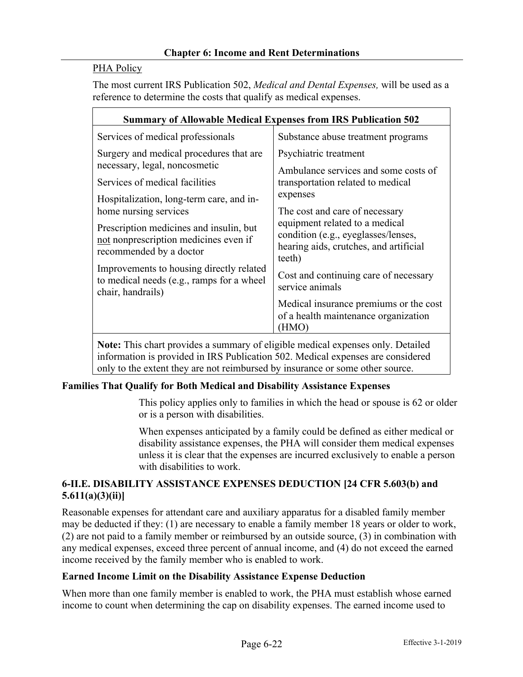## PHA Policy

The most current IRS Publication 502, *Medical and Dental Expenses,* will be used as a reference to determine the costs that qualify as medical expenses.

| <b>Summary of Allowable Medical Expenses from IRS Publication 502</b>                                                                                                                                                                                                                                                                     |                                                                                                                                                                                                                                                                                                                                           |  |  |  |
|-------------------------------------------------------------------------------------------------------------------------------------------------------------------------------------------------------------------------------------------------------------------------------------------------------------------------------------------|-------------------------------------------------------------------------------------------------------------------------------------------------------------------------------------------------------------------------------------------------------------------------------------------------------------------------------------------|--|--|--|
| Services of medical professionals                                                                                                                                                                                                                                                                                                         | Substance abuse treatment programs                                                                                                                                                                                                                                                                                                        |  |  |  |
| Surgery and medical procedures that are<br>necessary, legal, noncosmetic                                                                                                                                                                                                                                                                  | Psychiatric treatment<br>Ambulance services and some costs of<br>transportation related to medical<br>expenses<br>The cost and care of necessary<br>equipment related to a medical<br>condition (e.g., eyeglasses/lenses,<br>hearing aids, crutches, and artificial<br>teeth)<br>Cost and continuing care of necessary<br>service animals |  |  |  |
| Services of medical facilities                                                                                                                                                                                                                                                                                                            |                                                                                                                                                                                                                                                                                                                                           |  |  |  |
| Hospitalization, long-term care, and in-<br>home nursing services                                                                                                                                                                                                                                                                         |                                                                                                                                                                                                                                                                                                                                           |  |  |  |
| Prescription medicines and insulin, but<br>not nonprescription medicines even if<br>recommended by a doctor                                                                                                                                                                                                                               |                                                                                                                                                                                                                                                                                                                                           |  |  |  |
| Improvements to housing directly related<br>to medical needs (e.g., ramps for a wheel<br>chair, handrails)                                                                                                                                                                                                                                |                                                                                                                                                                                                                                                                                                                                           |  |  |  |
|                                                                                                                                                                                                                                                                                                                                           | Medical insurance premiums or the cost<br>of a health maintenance organization<br>(HMO)                                                                                                                                                                                                                                                   |  |  |  |
| $\mathbf{M}$ and $\mathbf{M}$ and $\mathbf{M}$ and $\mathbf{M}$ and $\mathbf{M}$ and $\mathbf{M}$ and $\mathbf{M}$ and $\mathbf{M}$ and $\mathbf{M}$ and $\mathbf{M}$ and $\mathbf{M}$ and $\mathbf{M}$ and $\mathbf{M}$ and $\mathbf{M}$ and $\mathbf{M}$ and $\mathbf{M}$ and $\mathbf{M}$ and<br>$0.1$ 1 1 $1$ 1 $1$ 1 $1$ 1 $1$ 1 $1$ |                                                                                                                                                                                                                                                                                                                                           |  |  |  |

**Note:** This chart provides a summary of eligible medical expenses only. Detailed information is provided in IRS Publication 502. Medical expenses are considered only to the extent they are not reimbursed by insurance or some other source.

## **Families That Qualify for Both Medical and Disability Assistance Expenses**

This policy applies only to families in which the head or spouse is 62 or older or is a person with disabilities.

When expenses anticipated by a family could be defined as either medical or disability assistance expenses, the PHA will consider them medical expenses unless it is clear that the expenses are incurred exclusively to enable a person with disabilities to work.

## **6-II.E. DISABILITY ASSISTANCE EXPENSES DEDUCTION [24 CFR 5.603(b) and 5.611(a)(3)(ii)]**

Reasonable expenses for attendant care and auxiliary apparatus for a disabled family member may be deducted if they: (1) are necessary to enable a family member 18 years or older to work, (2) are not paid to a family member or reimbursed by an outside source, (3) in combination with any medical expenses, exceed three percent of annual income, and (4) do not exceed the earned income received by the family member who is enabled to work.

#### **Earned Income Limit on the Disability Assistance Expense Deduction**

When more than one family member is enabled to work, the PHA must establish whose earned income to count when determining the cap on disability expenses. The earned income used to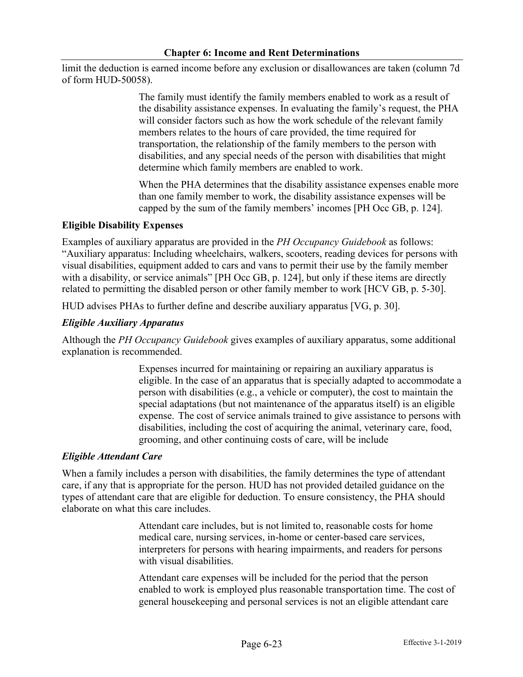limit the deduction is earned income before any exclusion or disallowances are taken (column 7d of form HUD-50058).

> The family must identify the family members enabled to work as a result of the disability assistance expenses. In evaluating the family's request, the PHA will consider factors such as how the work schedule of the relevant family members relates to the hours of care provided, the time required for transportation, the relationship of the family members to the person with disabilities, and any special needs of the person with disabilities that might determine which family members are enabled to work.

> When the PHA determines that the disability assistance expenses enable more than one family member to work, the disability assistance expenses will be capped by the sum of the family members' incomes [PH Occ GB, p. 124].

## **Eligible Disability Expenses**

Examples of auxiliary apparatus are provided in the *PH Occupancy Guidebook* as follows: "Auxiliary apparatus: Including wheelchairs, walkers, scooters, reading devices for persons with visual disabilities, equipment added to cars and vans to permit their use by the family member with a disability, or service animals" [PH Occ GB, p. 124], but only if these items are directly related to permitting the disabled person or other family member to work [HCV GB, p. 5-30].

HUD advises PHAs to further define and describe auxiliary apparatus [VG, p. 30].

## *Eligible Auxiliary Apparatus*

Although the *PH Occupancy Guidebook* gives examples of auxiliary apparatus, some additional explanation is recommended.

> Expenses incurred for maintaining or repairing an auxiliary apparatus is eligible. In the case of an apparatus that is specially adapted to accommodate a person with disabilities (e.g., a vehicle or computer), the cost to maintain the special adaptations (but not maintenance of the apparatus itself) is an eligible expense. The cost of service animals trained to give assistance to persons with disabilities, including the cost of acquiring the animal, veterinary care, food, grooming, and other continuing costs of care, will be include

#### *Eligible Attendant Care*

When a family includes a person with disabilities, the family determines the type of attendant care, if any that is appropriate for the person. HUD has not provided detailed guidance on the types of attendant care that are eligible for deduction. To ensure consistency, the PHA should elaborate on what this care includes.

> Attendant care includes, but is not limited to, reasonable costs for home medical care, nursing services, in-home or center-based care services, interpreters for persons with hearing impairments, and readers for persons with visual disabilities.

Attendant care expenses will be included for the period that the person enabled to work is employed plus reasonable transportation time. The cost of general housekeeping and personal services is not an eligible attendant care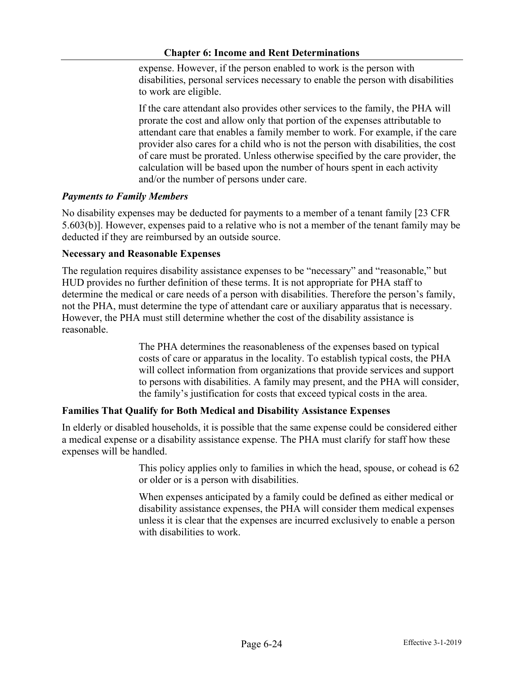expense. However, if the person enabled to work is the person with disabilities, personal services necessary to enable the person with disabilities to work are eligible.

If the care attendant also provides other services to the family, the PHA will prorate the cost and allow only that portion of the expenses attributable to attendant care that enables a family member to work. For example, if the care provider also cares for a child who is not the person with disabilities, the cost of care must be prorated. Unless otherwise specified by the care provider, the calculation will be based upon the number of hours spent in each activity and/or the number of persons under care.

## *Payments to Family Members*

No disability expenses may be deducted for payments to a member of a tenant family [23 CFR 5.603(b)]. However, expenses paid to a relative who is not a member of the tenant family may be deducted if they are reimbursed by an outside source.

### **Necessary and Reasonable Expenses**

The regulation requires disability assistance expenses to be "necessary" and "reasonable," but HUD provides no further definition of these terms. It is not appropriate for PHA staff to determine the medical or care needs of a person with disabilities. Therefore the person's family, not the PHA, must determine the type of attendant care or auxiliary apparatus that is necessary. However, the PHA must still determine whether the cost of the disability assistance is reasonable.

> The PHA determines the reasonableness of the expenses based on typical costs of care or apparatus in the locality. To establish typical costs, the PHA will collect information from organizations that provide services and support to persons with disabilities. A family may present, and the PHA will consider, the family's justification for costs that exceed typical costs in the area.

## **Families That Qualify for Both Medical and Disability Assistance Expenses**

In elderly or disabled households, it is possible that the same expense could be considered either a medical expense or a disability assistance expense. The PHA must clarify for staff how these expenses will be handled.

> This policy applies only to families in which the head, spouse, or cohead is 62 or older or is a person with disabilities.

When expenses anticipated by a family could be defined as either medical or disability assistance expenses, the PHA will consider them medical expenses unless it is clear that the expenses are incurred exclusively to enable a person with disabilities to work.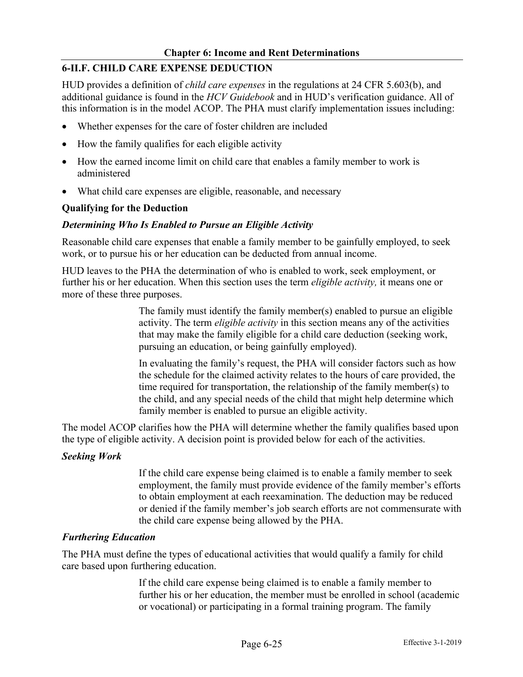## **6-II.F. CHILD CARE EXPENSE DEDUCTION**

HUD provides a definition of *child care expenses* in the regulations at 24 CFR 5.603(b), and additional guidance is found in the *HCV Guidebook* and in HUD's verification guidance. All of this information is in the model ACOP. The PHA must clarify implementation issues including:

- Whether expenses for the care of foster children are included
- How the family qualifies for each eligible activity
- How the earned income limit on child care that enables a family member to work is administered
- What child care expenses are eligible, reasonable, and necessary

### **Qualifying for the Deduction**

### *Determining Who Is Enabled to Pursue an Eligible Activity*

Reasonable child care expenses that enable a family member to be gainfully employed, to seek work, or to pursue his or her education can be deducted from annual income.

HUD leaves to the PHA the determination of who is enabled to work, seek employment, or further his or her education. When this section uses the term *eligible activity,* it means one or more of these three purposes.

> The family must identify the family member(s) enabled to pursue an eligible activity. The term *eligible activity* in this section means any of the activities that may make the family eligible for a child care deduction (seeking work, pursuing an education, or being gainfully employed).

In evaluating the family's request, the PHA will consider factors such as how the schedule for the claimed activity relates to the hours of care provided, the time required for transportation, the relationship of the family member(s) to the child, and any special needs of the child that might help determine which family member is enabled to pursue an eligible activity.

The model ACOP clarifies how the PHA will determine whether the family qualifies based upon the type of eligible activity. A decision point is provided below for each of the activities.

#### *Seeking Work*

If the child care expense being claimed is to enable a family member to seek employment, the family must provide evidence of the family member's efforts to obtain employment at each reexamination. The deduction may be reduced or denied if the family member's job search efforts are not commensurate with the child care expense being allowed by the PHA.

#### *Furthering Education*

The PHA must define the types of educational activities that would qualify a family for child care based upon furthering education.

> If the child care expense being claimed is to enable a family member to further his or her education, the member must be enrolled in school (academic or vocational) or participating in a formal training program. The family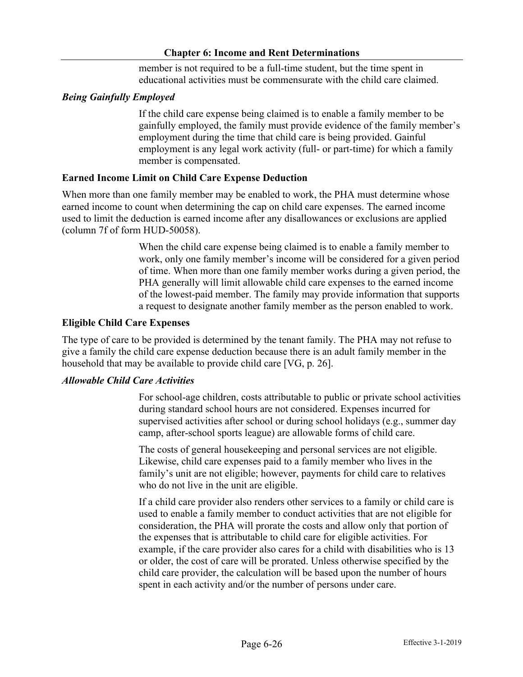member is not required to be a full-time student, but the time spent in educational activities must be commensurate with the child care claimed.

## *Being Gainfully Employed*

If the child care expense being claimed is to enable a family member to be gainfully employed, the family must provide evidence of the family member's employment during the time that child care is being provided. Gainful employment is any legal work activity (full- or part-time) for which a family member is compensated.

### **Earned Income Limit on Child Care Expense Deduction**

When more than one family member may be enabled to work, the PHA must determine whose earned income to count when determining the cap on child care expenses. The earned income used to limit the deduction is earned income after any disallowances or exclusions are applied (column 7f of form HUD-50058).

> When the child care expense being claimed is to enable a family member to work, only one family member's income will be considered for a given period of time. When more than one family member works during a given period, the PHA generally will limit allowable child care expenses to the earned income of the lowest-paid member. The family may provide information that supports a request to designate another family member as the person enabled to work.

### **Eligible Child Care Expenses**

The type of care to be provided is determined by the tenant family. The PHA may not refuse to give a family the child care expense deduction because there is an adult family member in the household that may be available to provide child care [VG, p. 26].

### *Allowable Child Care Activities*

For school-age children, costs attributable to public or private school activities during standard school hours are not considered. Expenses incurred for supervised activities after school or during school holidays (e.g., summer day camp, after-school sports league) are allowable forms of child care.

The costs of general housekeeping and personal services are not eligible. Likewise, child care expenses paid to a family member who lives in the family's unit are not eligible; however, payments for child care to relatives who do not live in the unit are eligible.

If a child care provider also renders other services to a family or child care is used to enable a family member to conduct activities that are not eligible for consideration, the PHA will prorate the costs and allow only that portion of the expenses that is attributable to child care for eligible activities. For example, if the care provider also cares for a child with disabilities who is 13 or older, the cost of care will be prorated. Unless otherwise specified by the child care provider, the calculation will be based upon the number of hours spent in each activity and/or the number of persons under care.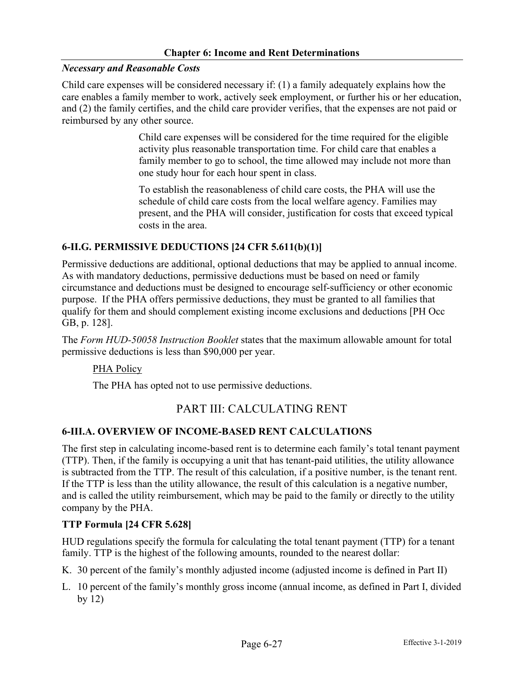#### *Necessary and Reasonable Costs*

Child care expenses will be considered necessary if: (1) a family adequately explains how the care enables a family member to work, actively seek employment, or further his or her education, and (2) the family certifies, and the child care provider verifies, that the expenses are not paid or reimbursed by any other source.

> Child care expenses will be considered for the time required for the eligible activity plus reasonable transportation time. For child care that enables a family member to go to school, the time allowed may include not more than one study hour for each hour spent in class.

> To establish the reasonableness of child care costs, the PHA will use the schedule of child care costs from the local welfare agency. Families may present, and the PHA will consider, justification for costs that exceed typical costs in the area.

### **6-II.G. PERMISSIVE DEDUCTIONS [24 CFR 5.611(b)(1)]**

Permissive deductions are additional, optional deductions that may be applied to annual income. As with mandatory deductions, permissive deductions must be based on need or family circumstance and deductions must be designed to encourage self-sufficiency or other economic purpose. If the PHA offers permissive deductions, they must be granted to all families that qualify for them and should complement existing income exclusions and deductions [PH Occ GB, p. 128].

The *Form HUD-50058 Instruction Booklet* states that the maximum allowable amount for total permissive deductions is less than \$90,000 per year.

#### PHA Policy

The PHA has opted not to use permissive deductions.

# PART III: CALCULATING RENT

#### **6-III.A. OVERVIEW OF INCOME-BASED RENT CALCULATIONS**

The first step in calculating income-based rent is to determine each family's total tenant payment (TTP). Then, if the family is occupying a unit that has tenant-paid utilities, the utility allowance is subtracted from the TTP. The result of this calculation, if a positive number, is the tenant rent. If the TTP is less than the utility allowance, the result of this calculation is a negative number, and is called the utility reimbursement, which may be paid to the family or directly to the utility company by the PHA.

#### **TTP Formula [24 CFR 5.628]**

HUD regulations specify the formula for calculating the total tenant payment (TTP) for a tenant family. TTP is the highest of the following amounts, rounded to the nearest dollar:

- K. 30 percent of the family's monthly adjusted income (adjusted income is defined in Part II)
- L. 10 percent of the family's monthly gross income (annual income, as defined in Part I, divided by 12)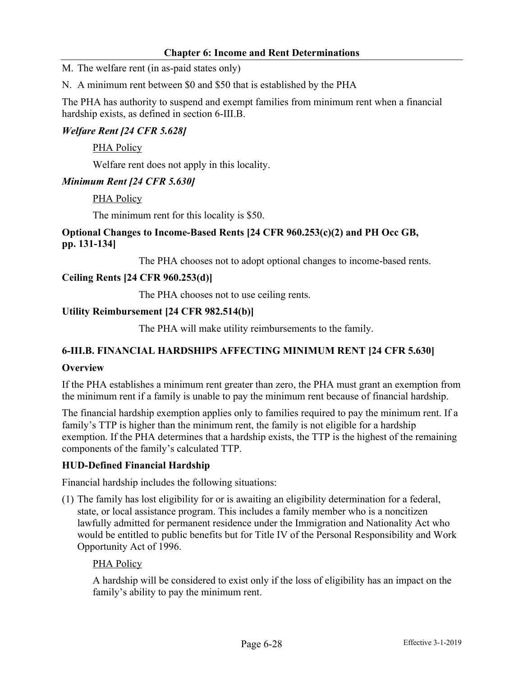M. The welfare rent (in as-paid states only)

N. A minimum rent between \$0 and \$50 that is established by the PHA

The PHA has authority to suspend and exempt families from minimum rent when a financial hardship exists, as defined in section 6-III.B.

## *Welfare Rent [24 CFR 5.628]*

PHA Policy

Welfare rent does not apply in this locality.

### *Minimum Rent [24 CFR 5.630]*

PHA Policy

The minimum rent for this locality is \$50.

## **Optional Changes to Income-Based Rents [24 CFR 960.253(c)(2) and PH Occ GB, pp. 131-134]**

The PHA chooses not to adopt optional changes to income-based rents.

## **Ceiling Rents [24 CFR 960.253(d)]**

The PHA chooses not to use ceiling rents.

### **Utility Reimbursement [24 CFR 982.514(b)]**

The PHA will make utility reimbursements to the family.

## **6***-***III.B. FINANCIAL HARDSHIPS AFFECTING MINIMUM RENT [24 CFR 5.630]**

## **Overview**

If the PHA establishes a minimum rent greater than zero, the PHA must grant an exemption from the minimum rent if a family is unable to pay the minimum rent because of financial hardship.

The financial hardship exemption applies only to families required to pay the minimum rent. If a family's TTP is higher than the minimum rent, the family is not eligible for a hardship exemption. If the PHA determines that a hardship exists, the TTP is the highest of the remaining components of the family's calculated TTP.

## **HUD-Defined Financial Hardship**

Financial hardship includes the following situations:

(1) The family has lost eligibility for or is awaiting an eligibility determination for a federal, state, or local assistance program. This includes a family member who is a noncitizen lawfully admitted for permanent residence under the Immigration and Nationality Act who would be entitled to public benefits but for Title IV of the Personal Responsibility and Work Opportunity Act of 1996.

## PHA Policy

A hardship will be considered to exist only if the loss of eligibility has an impact on the family's ability to pay the minimum rent.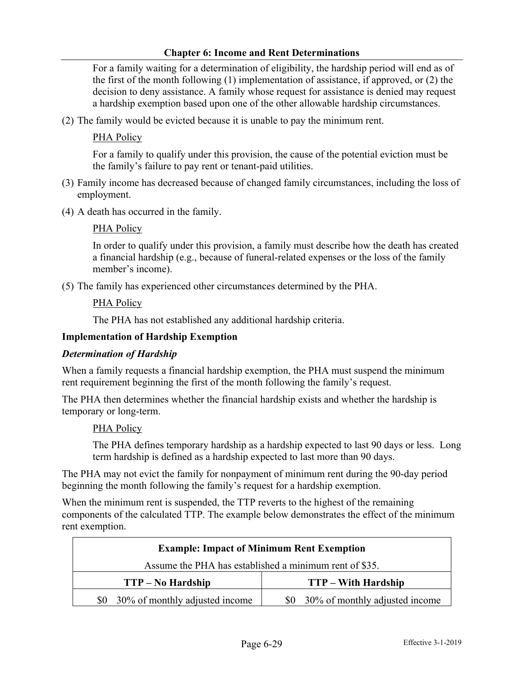For a family waiting for a determination of eligibility, the hardship period will end as of the first of the month following (1) implementation of assistance, if approved, or (2) the decision to deny assistance. A family whose request for assistance is denied may request a hardship exemption based upon one of the other allowable hardship circumstances.

(2) The family would be evicted because it is unable to pay the minimum rent.

## PHA Policy

For a family to qualify under this provision, the cause of the potential eviction must be the family's failure to pay rent or tenant-paid utilities.

- (3) Family income has decreased because of changed family circumstances, including the loss of employment.
- (4) A death has occurred in the family.

### PHA Policy

In order to qualify under this provision, a family must describe how the death has created a financial hardship (e.g., because of funeral-related expenses or the loss of the family member's income).

(5) The family has experienced other circumstances determined by the PHA.

### PHA Policy

The PHA has not established any additional hardship criteria.

## **Implementation of Hardship Exemption**

#### *Determination of Hardship*

When a family requests a financial hardship exemption, the PHA must suspend the minimum rent requirement beginning the first of the month following the family's request.

The PHA then determines whether the financial hardship exists and whether the hardship is temporary or long-term.

#### PHA Policy

The PHA defines temporary hardship as a hardship expected to last 90 days or less. Long term hardship is defined as a hardship expected to last more than 90 days.

The PHA may not evict the family for nonpayment of minimum rent during the 90-day period beginning the month following the family's request for a hardship exemption.

When the minimum rent is suspended, the TTP reverts to the highest of the remaining components of the calculated TTP. The example below demonstrates the effect of the minimum rent exemption.

| <b>Example: Impact of Minimum Rent Exemption</b>       |                                       |  |  |
|--------------------------------------------------------|---------------------------------------|--|--|
| Assume the PHA has established a minimum rent of \$35. |                                       |  |  |
| $TTP - No$ Hardship                                    | <b>TTP</b> – With Hardship            |  |  |
| 30% of monthly adjusted income<br>SO.                  | 30% of monthly adjusted income<br>\$0 |  |  |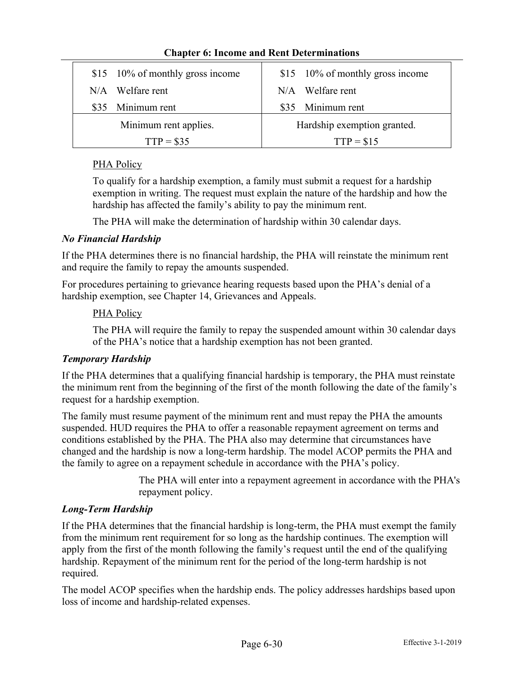|                       | \$15 10% of monthly gross income |                             | \$15 10% of monthly gross income |
|-----------------------|----------------------------------|-----------------------------|----------------------------------|
|                       | $N/A$ Welfare rent               |                             | $N/A$ Welfare rent               |
|                       | \$35 Minimum rent                |                             | \$35 Minimum rent                |
| Minimum rent applies. |                                  | Hardship exemption granted. |                                  |
| $TTP = $35$           |                                  | $TTP = $15$                 |                                  |

## PHA Policy

To qualify for a hardship exemption, a family must submit a request for a hardship exemption in writing. The request must explain the nature of the hardship and how the hardship has affected the family's ability to pay the minimum rent.

The PHA will make the determination of hardship within 30 calendar days.

## *No Financial Hardship*

If the PHA determines there is no financial hardship, the PHA will reinstate the minimum rent and require the family to repay the amounts suspended.

For procedures pertaining to grievance hearing requests based upon the PHA's denial of a hardship exemption, see Chapter 14, Grievances and Appeals.

## PHA Policy

The PHA will require the family to repay the suspended amount within 30 calendar days of the PHA's notice that a hardship exemption has not been granted.

# *Temporary Hardship*

If the PHA determines that a qualifying financial hardship is temporary, the PHA must reinstate the minimum rent from the beginning of the first of the month following the date of the family's request for a hardship exemption.

The family must resume payment of the minimum rent and must repay the PHA the amounts suspended. HUD requires the PHA to offer a reasonable repayment agreement on terms and conditions established by the PHA. The PHA also may determine that circumstances have changed and the hardship is now a long-term hardship. The model ACOP permits the PHA and the family to agree on a repayment schedule in accordance with the PHA's policy.

> The PHA will enter into a repayment agreement in accordance with the PHA's repayment policy.

# *Long-Term Hardship*

If the PHA determines that the financial hardship is long-term, the PHA must exempt the family from the minimum rent requirement for so long as the hardship continues. The exemption will apply from the first of the month following the family's request until the end of the qualifying hardship. Repayment of the minimum rent for the period of the long-term hardship is not required.

The model ACOP specifies when the hardship ends. The policy addresses hardships based upon loss of income and hardship-related expenses.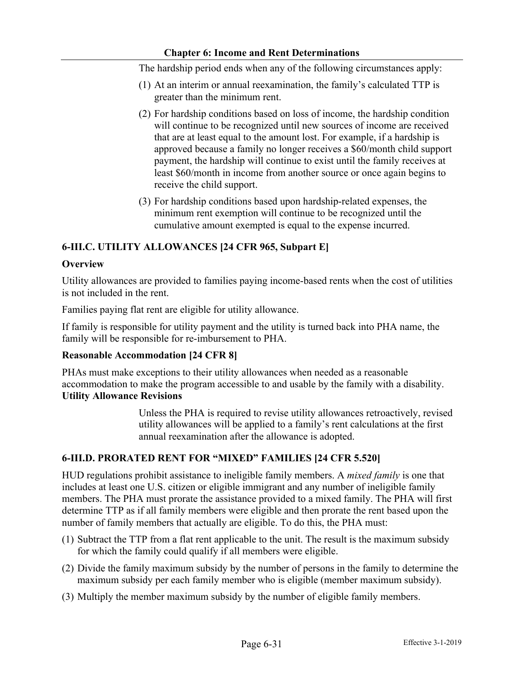The hardship period ends when any of the following circumstances apply:

- (1) At an interim or annual reexamination, the family's calculated TTP is greater than the minimum rent.
- (2) For hardship conditions based on loss of income, the hardship condition will continue to be recognized until new sources of income are received that are at least equal to the amount lost. For example, if a hardship is approved because a family no longer receives a \$60/month child support payment, the hardship will continue to exist until the family receives at least \$60/month in income from another source or once again begins to receive the child support.
- (3) For hardship conditions based upon hardship-related expenses, the minimum rent exemption will continue to be recognized until the cumulative amount exempted is equal to the expense incurred.

## **6-III.C. UTILITY ALLOWANCES [24 CFR 965, Subpart E]**

### **Overview**

Utility allowances are provided to families paying income-based rents when the cost of utilities is not included in the rent.

Families paying flat rent are eligible for utility allowance.

If family is responsible for utility payment and the utility is turned back into PHA name, the family will be responsible for re-imbursement to PHA.

#### **Reasonable Accommodation [24 CFR 8]**

PHAs must make exceptions to their utility allowances when needed as a reasonable accommodation to make the program accessible to and usable by the family with a disability. **Utility Allowance Revisions**

> Unless the PHA is required to revise utility allowances retroactively, revised utility allowances will be applied to a family's rent calculations at the first annual reexamination after the allowance is adopted.

## **6-III.D. PRORATED RENT FOR "MIXED" FAMILIES [24 CFR 5.520]**

HUD regulations prohibit assistance to ineligible family members. A *mixed family* is one that includes at least one U.S. citizen or eligible immigrant and any number of ineligible family members. The PHA must prorate the assistance provided to a mixed family. The PHA will first determine TTP as if all family members were eligible and then prorate the rent based upon the number of family members that actually are eligible. To do this, the PHA must:

- (1) Subtract the TTP from a flat rent applicable to the unit. The result is the maximum subsidy for which the family could qualify if all members were eligible.
- (2) Divide the family maximum subsidy by the number of persons in the family to determine the maximum subsidy per each family member who is eligible (member maximum subsidy).
- (3) Multiply the member maximum subsidy by the number of eligible family members.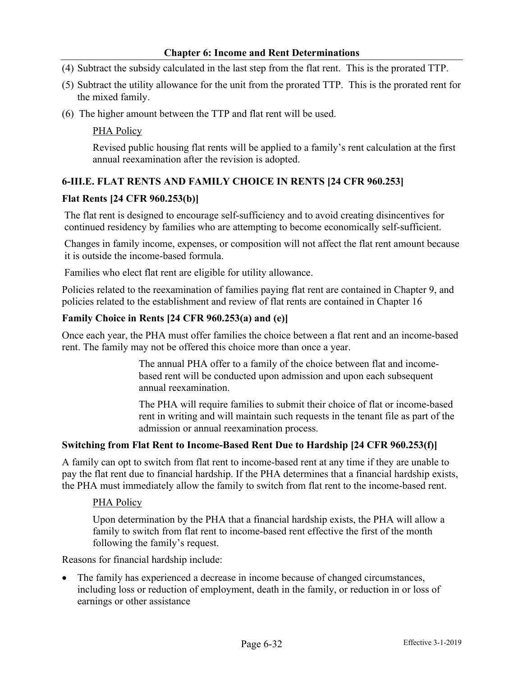- (4) Subtract the subsidy calculated in the last step from the flat rent. This is the prorated TTP.
- (5) Subtract the utility allowance for the unit from the prorated TTP. This is the prorated rent for the mixed family.
- (6) The higher amount between the TTP and flat rent will be used.

### PHA Policy

Revised public housing flat rents will be applied to a family's rent calculation at the first annual reexamination after the revision is adopted.

## **6-III.E. FLAT RENTS AND FAMILY CHOICE IN RENTS [24 CFR 960.253]**

#### **Flat Rents [24 CFR 960.253(b)]**

The flat rent is designed to encourage self-sufficiency and to avoid creating disincentives for continued residency by families who are attempting to become economically self-sufficient.

Changes in family income, expenses, or composition will not affect the flat rent amount because it is outside the income-based formula.

Families who elect flat rent are eligible for utility allowance.

Policies related to the reexamination of families paying flat rent are contained in Chapter 9, and policies related to the establishment and review of flat rents are contained in Chapter 16

#### **Family Choice in Rents [24 CFR 960.253(a) and (e)]**

Once each year, the PHA must offer families the choice between a flat rent and an income-based rent. The family may not be offered this choice more than once a year.

> The annual PHA offer to a family of the choice between flat and incomebased rent will be conducted upon admission and upon each subsequent annual reexamination.

The PHA will require families to submit their choice of flat or income-based rent in writing and will maintain such requests in the tenant file as part of the admission or annual reexamination process.

#### **Switching from Flat Rent to Income-Based Rent Due to Hardship [24 CFR 960.253(f)]**

A family can opt to switch from flat rent to income-based rent at any time if they are unable to pay the flat rent due to financial hardship. If the PHA determines that a financial hardship exists, the PHA must immediately allow the family to switch from flat rent to the income-based rent.

#### PHA Policy

Upon determination by the PHA that a financial hardship exists, the PHA will allow a family to switch from flat rent to income-based rent effective the first of the month following the family's request.

Reasons for financial hardship include:

• The family has experienced a decrease in income because of changed circumstances, including loss or reduction of employment, death in the family, or reduction in or loss of earnings or other assistance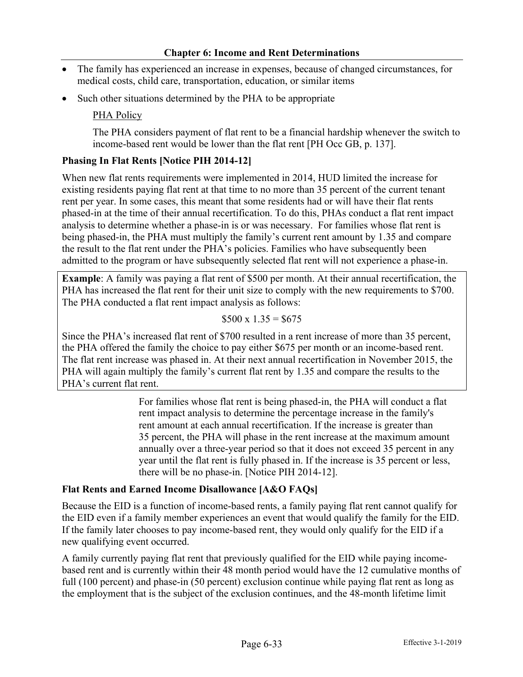- The family has experienced an increase in expenses, because of changed circumstances, for medical costs, child care, transportation, education, or similar items
- Such other situations determined by the PHA to be appropriate

## PHA Policy

The PHA considers payment of flat rent to be a financial hardship whenever the switch to income-based rent would be lower than the flat rent [PH Occ GB, p. 137].

## **Phasing In Flat Rents [Notice PIH 2014-12]**

When new flat rents requirements were implemented in 2014, HUD limited the increase for existing residents paying flat rent at that time to no more than 35 percent of the current tenant rent per year. In some cases, this meant that some residents had or will have their flat rents phased-in at the time of their annual recertification. To do this, PHAs conduct a flat rent impact analysis to determine whether a phase-in is or was necessary. For families whose flat rent is being phased-in, the PHA must multiply the family's current rent amount by 1.35 and compare the result to the flat rent under the PHA's policies. Families who have subsequently been admitted to the program or have subsequently selected flat rent will not experience a phase-in.

**Example**: A family was paying a flat rent of \$500 per month. At their annual recertification, the PHA has increased the flat rent for their unit size to comply with the new requirements to \$700. The PHA conducted a flat rent impact analysis as follows:

$$
$500 \times 1.35 = $675
$$

Since the PHA's increased flat rent of \$700 resulted in a rent increase of more than 35 percent, the PHA offered the family the choice to pay either \$675 per month or an income-based rent. The flat rent increase was phased in. At their next annual recertification in November 2015, the PHA will again multiply the family's current flat rent by 1.35 and compare the results to the PHA's current flat rent.

> For families whose flat rent is being phased-in, the PHA will conduct a flat rent impact analysis to determine the percentage increase in the family's rent amount at each annual recertification. If the increase is greater than 35 percent, the PHA will phase in the rent increase at the maximum amount annually over a three-year period so that it does not exceed 35 percent in any year until the flat rent is fully phased in. If the increase is 35 percent or less, there will be no phase-in. [Notice PIH 2014-12].

#### **Flat Rents and Earned Income Disallowance [A&O FAQs]**

Because the EID is a function of income-based rents, a family paying flat rent cannot qualify for the EID even if a family member experiences an event that would qualify the family for the EID. If the family later chooses to pay income-based rent, they would only qualify for the EID if a new qualifying event occurred.

A family currently paying flat rent that previously qualified for the EID while paying incomebased rent and is currently within their 48 month period would have the 12 cumulative months of full (100 percent) and phase-in (50 percent) exclusion continue while paying flat rent as long as the employment that is the subject of the exclusion continues, and the 48-month lifetime limit